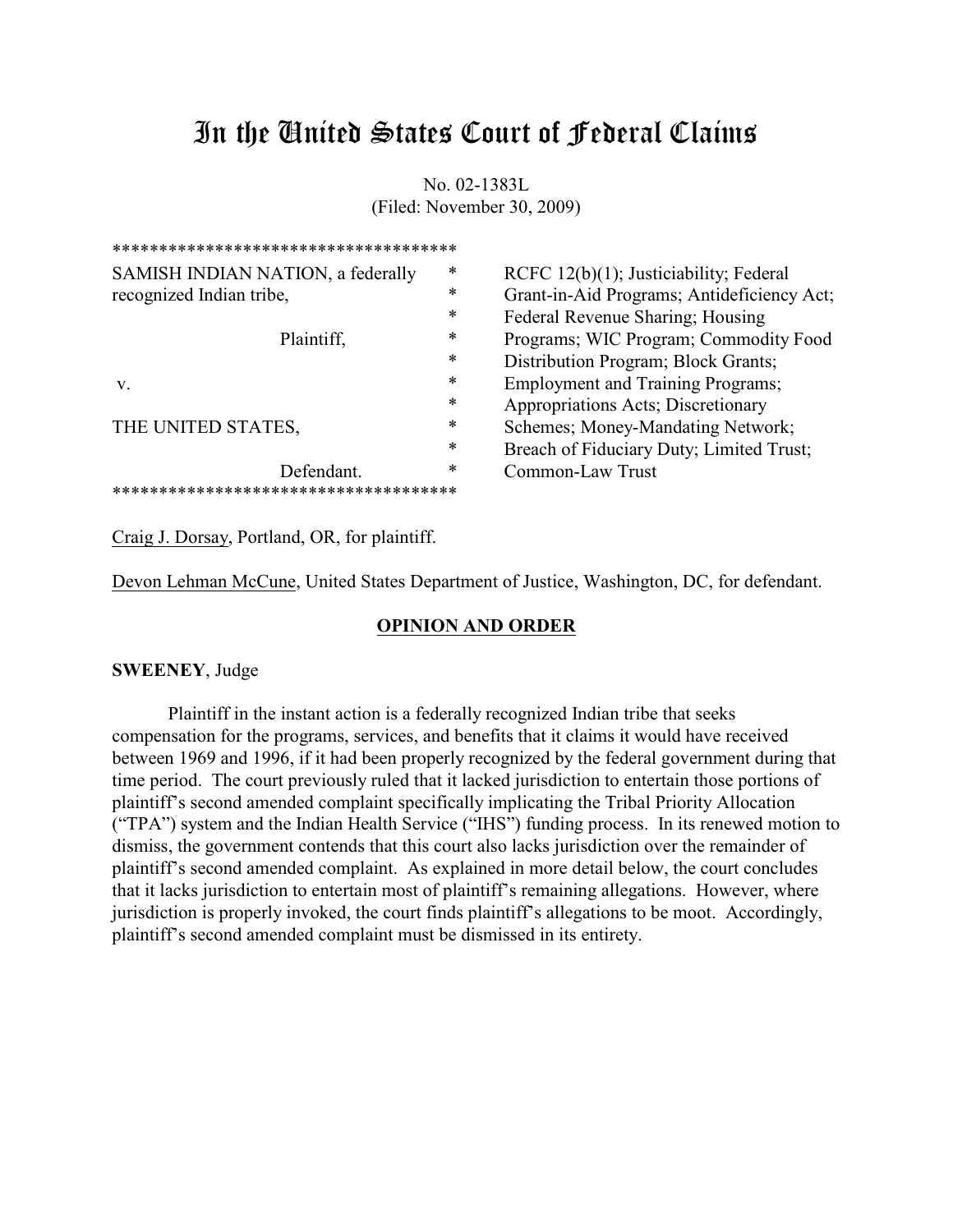# In the United States Court of Federal Claims

No. 02-1383L (Filed: November 30, 2009)

| ************************************** |   |                                            |
|----------------------------------------|---|--------------------------------------------|
| SAMISH INDIAN NATION, a federally      | ∗ | RCFC $12(b)(1)$ ; Justiciability; Federal  |
| recognized Indian tribe,               | ∗ | Grant-in-Aid Programs; Antideficiency Act; |
|                                        | ∗ | Federal Revenue Sharing; Housing           |
| Plaintiff,                             | ∗ | Programs; WIC Program; Commodity Food      |
|                                        | * | Distribution Program; Block Grants;        |
| V.                                     | ∗ | <b>Employment and Training Programs;</b>   |
|                                        | ∗ | Appropriations Acts; Discretionary         |
| THE UNITED STATES,                     | ∗ | Schemes; Money-Mandating Network;          |
|                                        | ∗ | Breach of Fiduciary Duty; Limited Trust;   |
| Defendant.                             | ∗ | Common-Law Trust                           |
| ******************************         |   |                                            |

Craig J. Dorsay, Portland, OR, for plaintiff.

Devon Lehman McCune, United States Department of Justice, Washington, DC, for defendant.

## **OPINION AND ORDER**

## **SWEENEY**, Judge

Plaintiff in the instant action is a federally recognized Indian tribe that seeks compensation for the programs, services, and benefits that it claims it would have received between 1969 and 1996, if it had been properly recognized by the federal government during that time period. The court previously ruled that it lacked jurisdiction to entertain those portions of plaintiff's second amended complaint specifically implicating the Tribal Priority Allocation ("TPA") system and the Indian Health Service ("IHS") funding process. In its renewed motion to dismiss, the government contends that this court also lacks jurisdiction over the remainder of plaintiff's second amended complaint. As explained in more detail below, the court concludes that it lacks jurisdiction to entertain most of plaintiff's remaining allegations. However, where jurisdiction is properly invoked, the court finds plaintiff's allegations to be moot. Accordingly, plaintiff's second amended complaint must be dismissed in its entirety.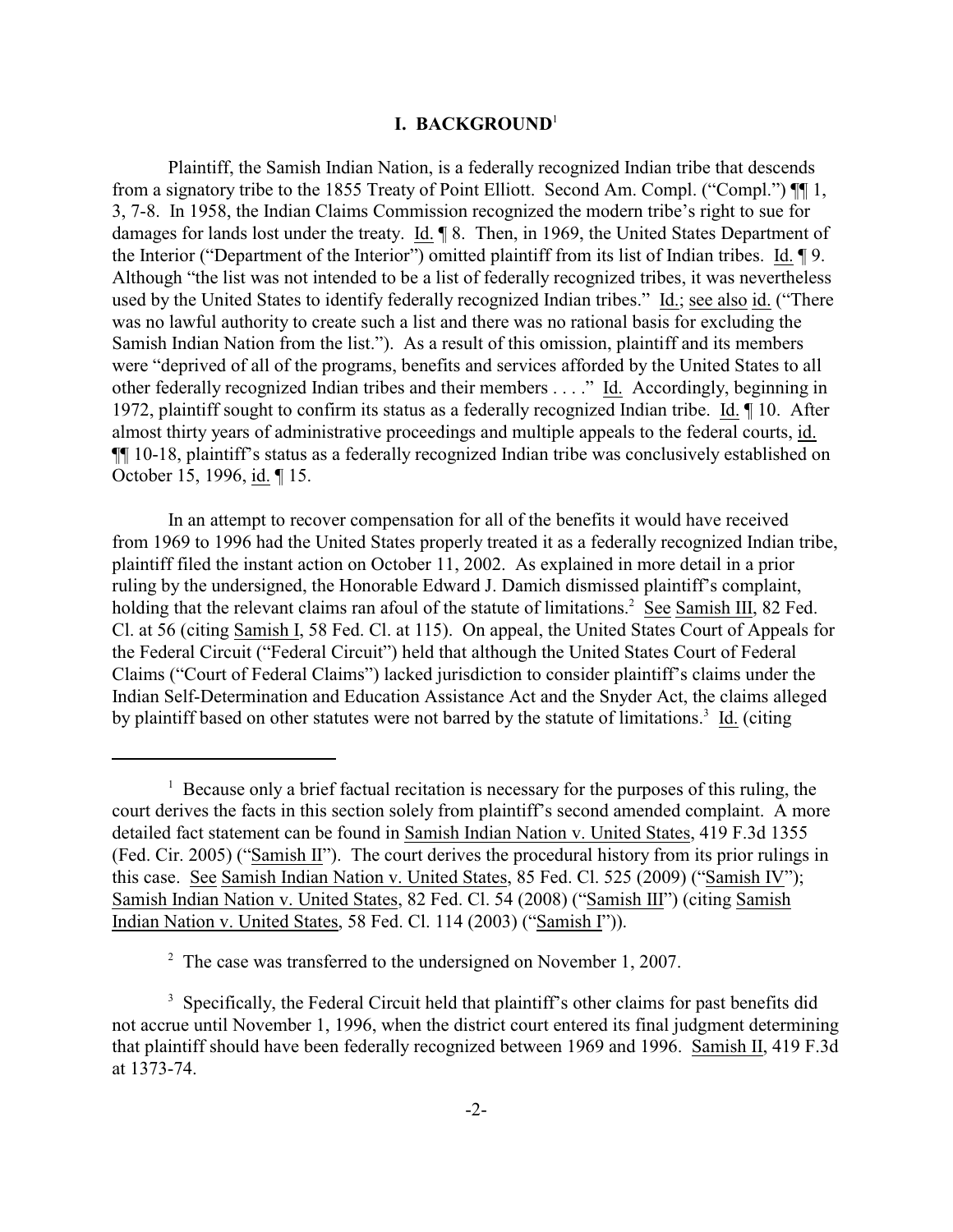#### **I. BACKGROUND**<sup>1</sup>

Plaintiff, the Samish Indian Nation, is a federally recognized Indian tribe that descends from a signatory tribe to the 1855 Treaty of Point Elliott. Second Am. Compl. ("Compl.") ¶¶ 1, 3, 7-8. In 1958, the Indian Claims Commission recognized the modern tribe's right to sue for damages for lands lost under the treaty. Id. ¶ 8. Then, in 1969, the United States Department of the Interior ("Department of the Interior") omitted plaintiff from its list of Indian tribes. Id. 19. Although "the list was not intended to be a list of federally recognized tribes, it was nevertheless used by the United States to identify federally recognized Indian tribes." Id.; see also id. ("There was no lawful authority to create such a list and there was no rational basis for excluding the Samish Indian Nation from the list."). As a result of this omission, plaintiff and its members were "deprived of all of the programs, benefits and services afforded by the United States to all other federally recognized Indian tribes and their members . . . ." Id. Accordingly, beginning in 1972, plaintiff sought to confirm its status as a federally recognized Indian tribe. Id. ¶ 10. After almost thirty years of administrative proceedings and multiple appeals to the federal courts, id. ¶¶ 10-18, plaintiff's status as a federally recognized Indian tribe was conclusively established on October 15, 1996, id. ¶ 15.

In an attempt to recover compensation for all of the benefits it would have received from 1969 to 1996 had the United States properly treated it as a federally recognized Indian tribe, plaintiff filed the instant action on October 11, 2002. As explained in more detail in a prior ruling by the undersigned, the Honorable Edward J. Damich dismissed plaintiff's complaint, holding that the relevant claims ran afoul of the statute of limitations.<sup>2</sup> See Samish III, 82 Fed. Cl. at 56 (citing Samish I, 58 Fed. Cl. at 115). On appeal, the United States Court of Appeals for the Federal Circuit ("Federal Circuit") held that although the United States Court of Federal Claims ("Court of Federal Claims") lacked jurisdiction to consider plaintiff's claims under the Indian Self-Determination and Education Assistance Act and the Snyder Act, the claims alleged by plaintiff based on other statutes were not barred by the statute of limitations.<sup>3</sup> Id. (citing

 $\frac{1}{1}$  Because only a brief factual recitation is necessary for the purposes of this ruling, the court derives the facts in this section solely from plaintiff's second amended complaint. A more detailed fact statement can be found in Samish Indian Nation v. United States, 419 F.3d 1355 (Fed. Cir. 2005) ("Samish II"). The court derives the procedural history from its prior rulings in this case. See Samish Indian Nation v. United States, 85 Fed. Cl. 525 (2009) ("Samish IV"); Samish Indian Nation v. United States, 82 Fed. Cl. 54 (2008) ("Samish III") (citing Samish Indian Nation v. United States, 58 Fed. Cl. 114 (2003) ("Samish I")).

 $\degree$  The case was transferred to the undersigned on November 1, 2007.

<sup>&</sup>lt;sup>3</sup> Specifically, the Federal Circuit held that plaintiff's other claims for past benefits did not accrue until November 1, 1996, when the district court entered its final judgment determining that plaintiff should have been federally recognized between 1969 and 1996. Samish II, 419 F.3d at 1373-74.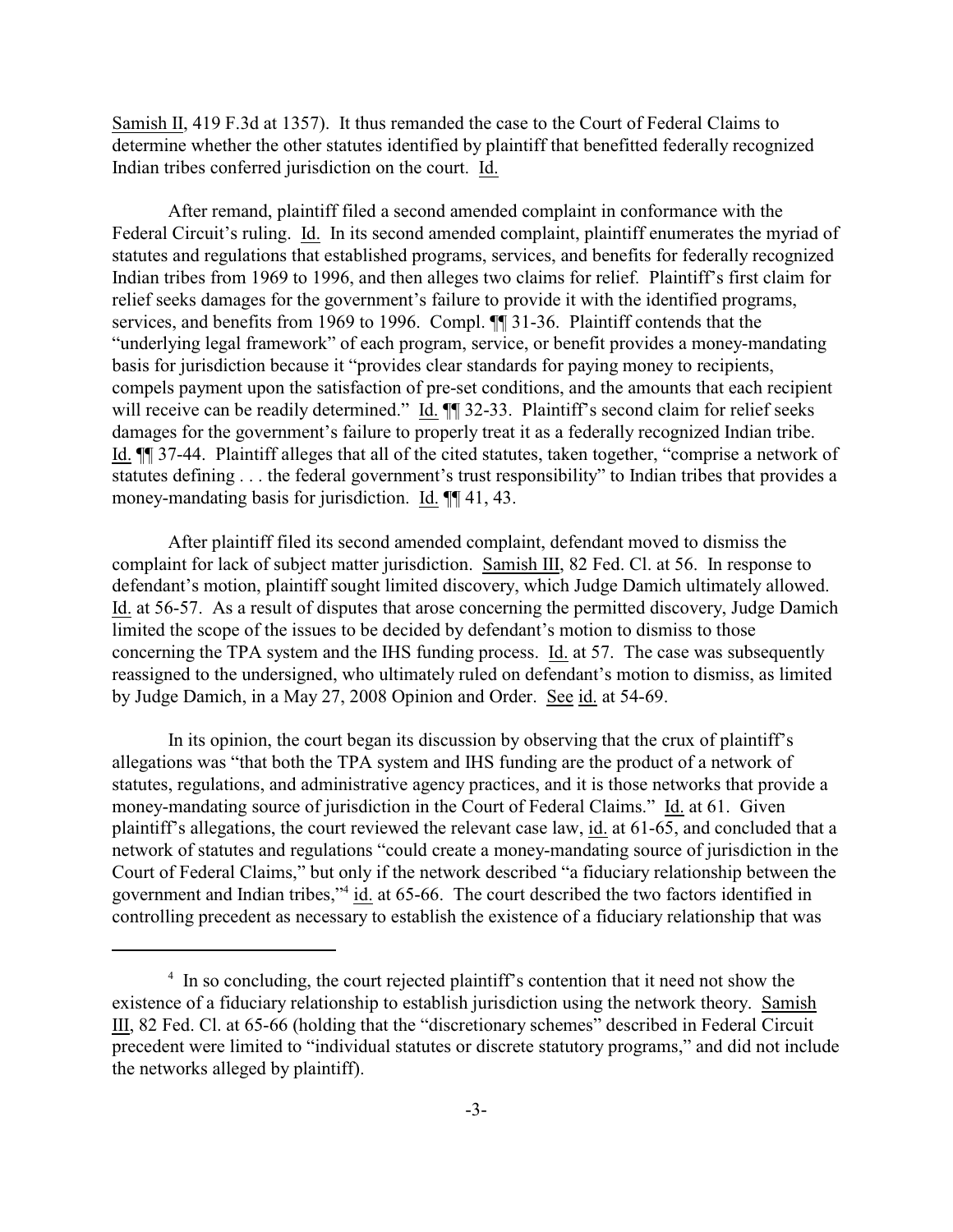Samish II, 419 F.3d at 1357). It thus remanded the case to the Court of Federal Claims to determine whether the other statutes identified by plaintiff that benefitted federally recognized Indian tribes conferred jurisdiction on the court. Id.

After remand, plaintiff filed a second amended complaint in conformance with the Federal Circuit's ruling. Id. In its second amended complaint, plaintiff enumerates the myriad of statutes and regulations that established programs, services, and benefits for federally recognized Indian tribes from 1969 to 1996, and then alleges two claims for relief. Plaintiff's first claim for relief seeks damages for the government's failure to provide it with the identified programs, services, and benefits from 1969 to 1996. Compl. ¶¶ 31-36. Plaintiff contends that the "underlying legal framework" of each program, service, or benefit provides a money-mandating basis for jurisdiction because it "provides clear standards for paying money to recipients, compels payment upon the satisfaction of pre-set conditions, and the amounts that each recipient will receive can be readily determined." Id.  $\P$  32-33. Plaintiff's second claim for relief seeks damages for the government's failure to properly treat it as a federally recognized Indian tribe. Id. ¶¶ 37-44. Plaintiff alleges that all of the cited statutes, taken together, "comprise a network of statutes defining . . . the federal government's trust responsibility" to Indian tribes that provides a money-mandating basis for jurisdiction. Id.  $\P$  41, 43.

After plaintiff filed its second amended complaint, defendant moved to dismiss the complaint for lack of subject matter jurisdiction. Samish III, 82 Fed. Cl. at 56. In response to defendant's motion, plaintiff sought limited discovery, which Judge Damich ultimately allowed. Id. at 56-57. As a result of disputes that arose concerning the permitted discovery, Judge Damich limited the scope of the issues to be decided by defendant's motion to dismiss to those concerning the TPA system and the IHS funding process. Id. at 57. The case was subsequently reassigned to the undersigned, who ultimately ruled on defendant's motion to dismiss, as limited by Judge Damich, in a May 27, 2008 Opinion and Order. See id. at 54-69.

In its opinion, the court began its discussion by observing that the crux of plaintiff's allegations was "that both the TPA system and IHS funding are the product of a network of statutes, regulations, and administrative agency practices, and it is those networks that provide a money-mandating source of jurisdiction in the Court of Federal Claims." Id. at 61. Given plaintiff's allegations, the court reviewed the relevant case law, id. at 61-65, and concluded that a network of statutes and regulations "could create a money-mandating source of jurisdiction in the Court of Federal Claims," but only if the network described "a fiduciary relationship between the government and Indian tribes,"<sup>4</sup> id. at 65-66. The court described the two factors identified in controlling precedent as necessary to establish the existence of a fiduciary relationship that was

 $\frac{4}{1}$  In so concluding, the court rejected plaintiff's contention that it need not show the existence of a fiduciary relationship to establish jurisdiction using the network theory. Samish III, 82 Fed. Cl. at 65-66 (holding that the "discretionary schemes" described in Federal Circuit precedent were limited to "individual statutes or discrete statutory programs," and did not include the networks alleged by plaintiff).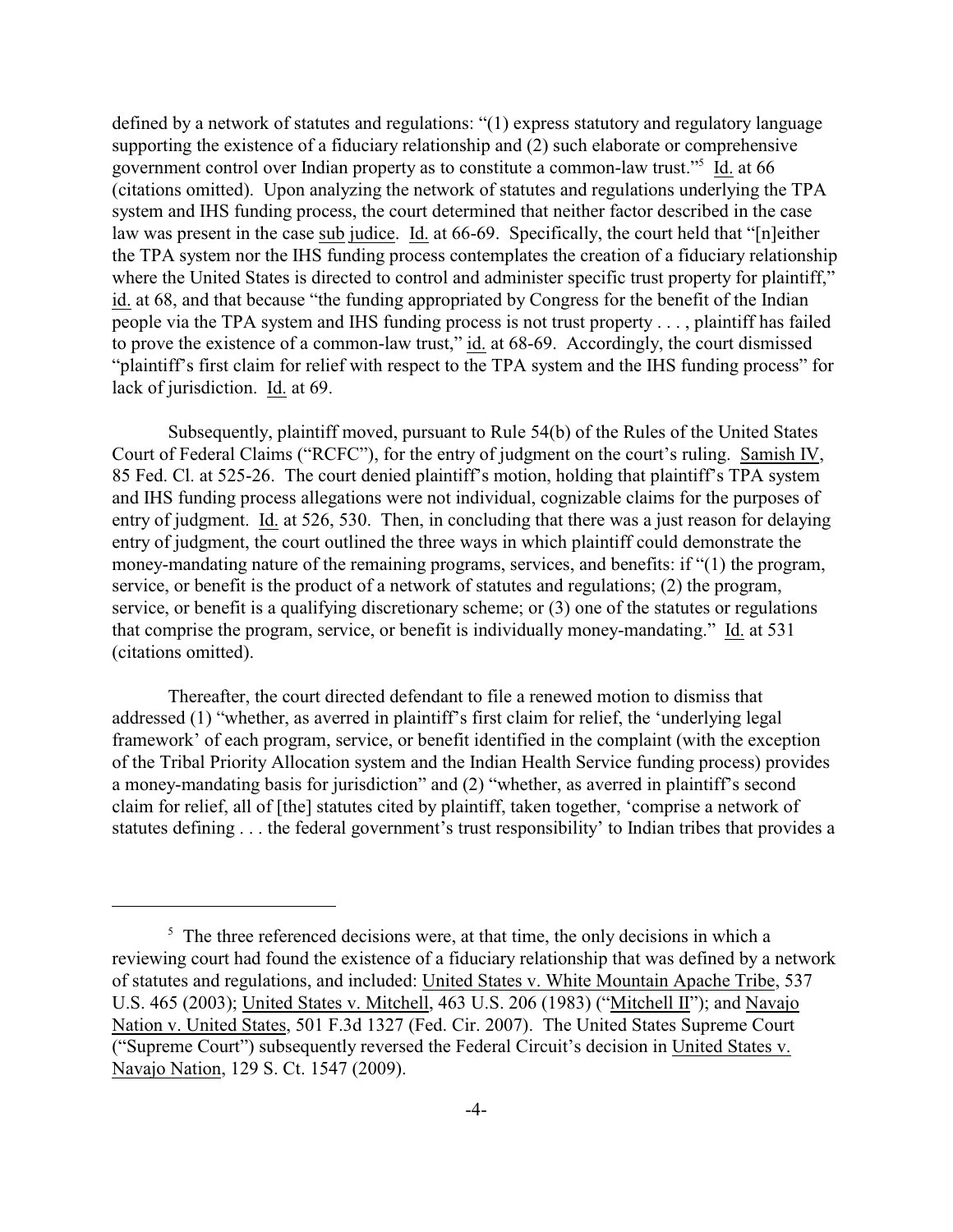defined by a network of statutes and regulations: "(1) express statutory and regulatory language supporting the existence of a fiduciary relationship and (2) such elaborate or comprehensive government control over Indian property as to constitute a common-law trust."<sup>5</sup> Id. at 66 (citations omitted). Upon analyzing the network of statutes and regulations underlying the TPA system and IHS funding process, the court determined that neither factor described in the case law was present in the case sub judice. Id. at 66-69. Specifically, the court held that "[n]either the TPA system nor the IHS funding process contemplates the creation of a fiduciary relationship where the United States is directed to control and administer specific trust property for plaintiff," id. at 68, and that because "the funding appropriated by Congress for the benefit of the Indian people via the TPA system and IHS funding process is not trust property . . . , plaintiff has failed to prove the existence of a common-law trust," id. at 68-69. Accordingly, the court dismissed "plaintiff's first claim for relief with respect to the TPA system and the IHS funding process" for lack of jurisdiction. Id. at 69.

Subsequently, plaintiff moved, pursuant to Rule 54(b) of the Rules of the United States Court of Federal Claims ("RCFC"), for the entry of judgment on the court's ruling. Samish IV, 85 Fed. Cl. at 525-26. The court denied plaintiff's motion, holding that plaintiff's TPA system and IHS funding process allegations were not individual, cognizable claims for the purposes of entry of judgment. Id. at 526, 530. Then, in concluding that there was a just reason for delaying entry of judgment, the court outlined the three ways in which plaintiff could demonstrate the money-mandating nature of the remaining programs, services, and benefits: if "(1) the program, service, or benefit is the product of a network of statutes and regulations; (2) the program, service, or benefit is a qualifying discretionary scheme; or (3) one of the statutes or regulations that comprise the program, service, or benefit is individually money-mandating." Id. at 531 (citations omitted).

Thereafter, the court directed defendant to file a renewed motion to dismiss that addressed (1) "whether, as averred in plaintiff's first claim for relief, the 'underlying legal framework' of each program, service, or benefit identified in the complaint (with the exception of the Tribal Priority Allocation system and the Indian Health Service funding process) provides a money-mandating basis for jurisdiction" and (2) "whether, as averred in plaintiff's second claim for relief, all of [the] statutes cited by plaintiff, taken together, 'comprise a network of statutes defining . . . the federal government's trust responsibility' to Indian tribes that provides a

 $\frac{1}{2}$ . The three referenced decisions were, at that time, the only decisions in which a reviewing court had found the existence of a fiduciary relationship that was defined by a network of statutes and regulations, and included: United States v. White Mountain Apache Tribe, 537 U.S. 465 (2003); United States v. Mitchell, 463 U.S. 206 (1983) ("Mitchell II"); and Navajo Nation v. United States, 501 F.3d 1327 (Fed. Cir. 2007). The United States Supreme Court ("Supreme Court") subsequently reversed the Federal Circuit's decision in United States v. Navajo Nation, 129 S. Ct. 1547 (2009).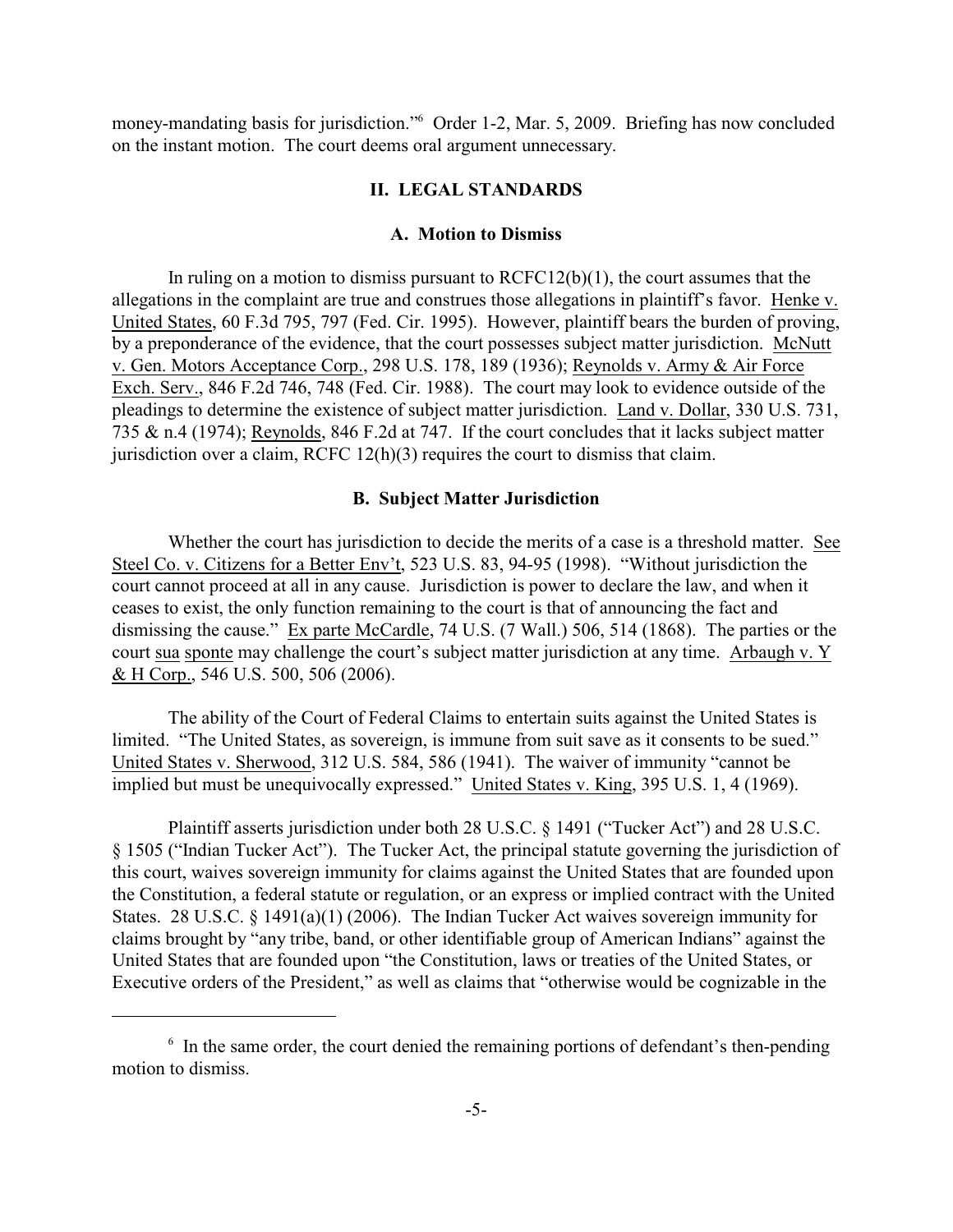money-mandating basis for jurisdiction." Order 1-2, Mar. 5, 2009. Briefing has now concluded on the instant motion. The court deems oral argument unnecessary.

#### **II. LEGAL STANDARDS**

## **A. Motion to Dismiss**

In ruling on a motion to dismiss pursuant to  $RCFC12(b)(1)$ , the court assumes that the allegations in the complaint are true and construes those allegations in plaintiff's favor. Henke v. United States, 60 F.3d 795, 797 (Fed. Cir. 1995). However, plaintiff bears the burden of proving, by a preponderance of the evidence, that the court possesses subject matter jurisdiction. McNutt v. Gen. Motors Acceptance Corp., 298 U.S. 178, 189 (1936); Reynolds v. Army & Air Force Exch. Serv., 846 F.2d 746, 748 (Fed. Cir. 1988). The court may look to evidence outside of the pleadings to determine the existence of subject matter jurisdiction. Land v. Dollar, 330 U.S. 731, 735 & n.4 (1974); Reynolds, 846 F.2d at 747. If the court concludes that it lacks subject matter jurisdiction over a claim, RCFC 12(h)(3) requires the court to dismiss that claim.

#### **B. Subject Matter Jurisdiction**

Whether the court has jurisdiction to decide the merits of a case is a threshold matter. See Steel Co. v. Citizens for a Better Env't, 523 U.S. 83, 94-95 (1998). "Without jurisdiction the court cannot proceed at all in any cause. Jurisdiction is power to declare the law, and when it ceases to exist, the only function remaining to the court is that of announcing the fact and dismissing the cause." Ex parte McCardle, 74 U.S. (7 Wall.) 506, 514 (1868). The parties or the court sua sponte may challenge the court's subject matter jurisdiction at any time. Arbaugh v. Y & H Corp., 546 U.S. 500, 506 (2006).

The ability of the Court of Federal Claims to entertain suits against the United States is limited. "The United States, as sovereign, is immune from suit save as it consents to be sued." United States v. Sherwood, 312 U.S. 584, 586 (1941). The waiver of immunity "cannot be implied but must be unequivocally expressed." United States v. King, 395 U.S. 1, 4 (1969).

Plaintiff asserts jurisdiction under both 28 U.S.C. § 1491 ("Tucker Act") and 28 U.S.C. § 1505 ("Indian Tucker Act"). The Tucker Act, the principal statute governing the jurisdiction of this court, waives sovereign immunity for claims against the United States that are founded upon the Constitution, a federal statute or regulation, or an express or implied contract with the United States. 28 U.S.C. § 1491(a)(1) (2006). The Indian Tucker Act waives sovereign immunity for claims brought by "any tribe, band, or other identifiable group of American Indians" against the United States that are founded upon "the Constitution, laws or treaties of the United States, or Executive orders of the President," as well as claims that "otherwise would be cognizable in the

 $\delta$  In the same order, the court denied the remaining portions of defendant's then-pending motion to dismiss.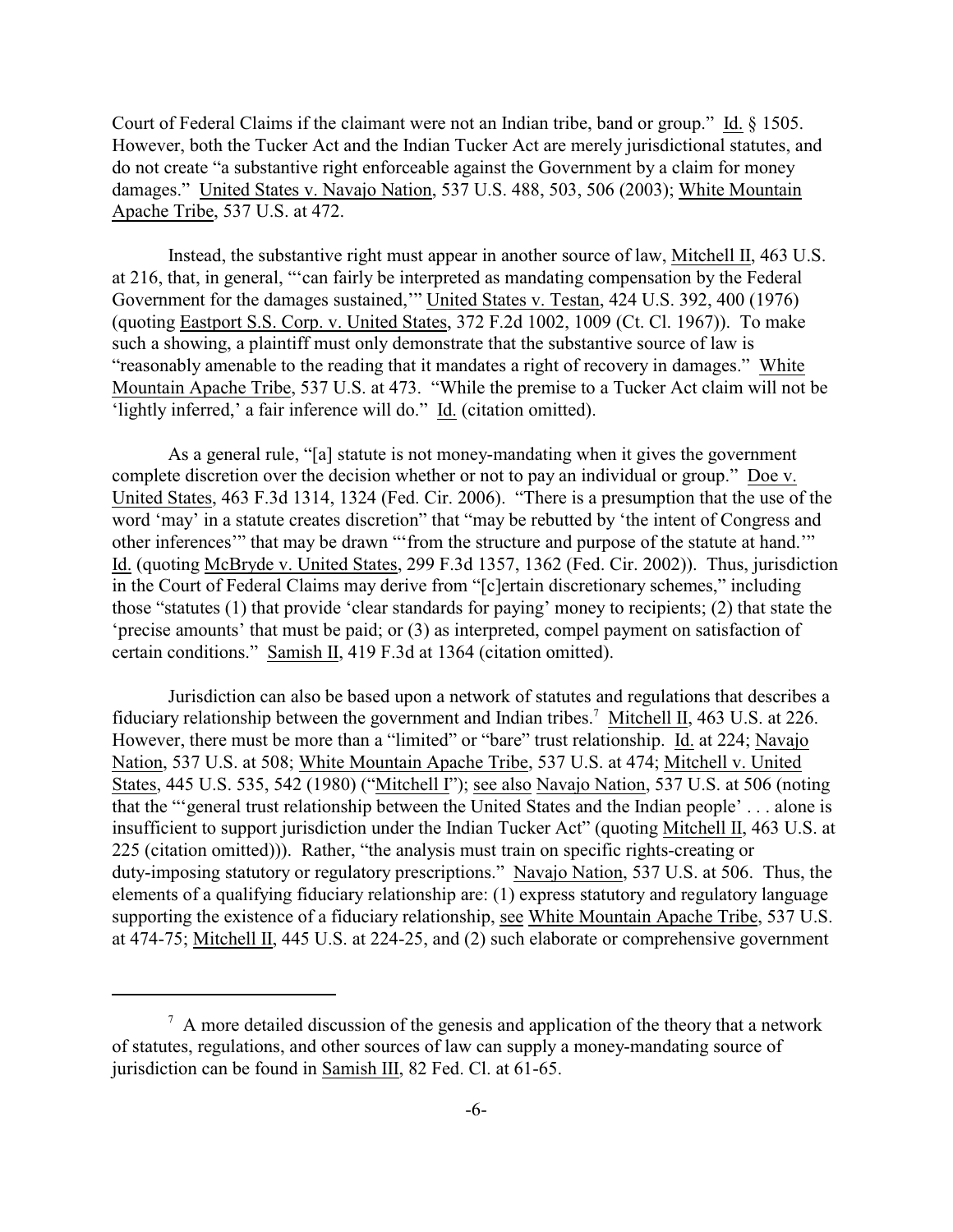Court of Federal Claims if the claimant were not an Indian tribe, band or group." Id. § 1505. However, both the Tucker Act and the Indian Tucker Act are merely jurisdictional statutes, and do not create "a substantive right enforceable against the Government by a claim for money damages." United States v. Navajo Nation, 537 U.S. 488, 503, 506 (2003); White Mountain Apache Tribe, 537 U.S. at 472.

Instead, the substantive right must appear in another source of law, Mitchell II, 463 U.S. at 216, that, in general, "'can fairly be interpreted as mandating compensation by the Federal Government for the damages sustained,'" United States v. Testan, 424 U.S. 392, 400 (1976) (quoting Eastport S.S. Corp. v. United States, 372 F.2d 1002, 1009 (Ct. Cl. 1967)). To make such a showing, a plaintiff must only demonstrate that the substantive source of law is "reasonably amenable to the reading that it mandates a right of recovery in damages." White Mountain Apache Tribe, 537 U.S. at 473. "While the premise to a Tucker Act claim will not be 'lightly inferred,' a fair inference will do." Id. (citation omitted).

As a general rule, "[a] statute is not money-mandating when it gives the government complete discretion over the decision whether or not to pay an individual or group." Doe v. United States, 463 F.3d 1314, 1324 (Fed. Cir. 2006). "There is a presumption that the use of the word 'may' in a statute creates discretion" that "may be rebutted by 'the intent of Congress and other inferences'" that may be drawn "'from the structure and purpose of the statute at hand.'" Id. (quoting McBryde v. United States, 299 F.3d 1357, 1362 (Fed. Cir. 2002)). Thus, jurisdiction in the Court of Federal Claims may derive from "[c]ertain discretionary schemes," including those "statutes (1) that provide 'clear standards for paying' money to recipients; (2) that state the 'precise amounts' that must be paid; or (3) as interpreted, compel payment on satisfaction of certain conditions." Samish II, 419 F.3d at 1364 (citation omitted).

Jurisdiction can also be based upon a network of statutes and regulations that describes a fiduciary relationship between the government and Indian tribes.<sup>7</sup> Mitchell II, 463 U.S. at 226. However, there must be more than a "limited" or "bare" trust relationship. Id. at 224; Navajo Nation, 537 U.S. at 508; White Mountain Apache Tribe, 537 U.S. at 474; Mitchell v. United States, 445 U.S. 535, 542 (1980) ("Mitchell I"); see also Navajo Nation, 537 U.S. at 506 (noting that the "'general trust relationship between the United States and the Indian people' . . . alone is insufficient to support jurisdiction under the Indian Tucker Act" (quoting Mitchell II, 463 U.S. at 225 (citation omitted))). Rather, "the analysis must train on specific rights-creating or duty-imposing statutory or regulatory prescriptions." Navajo Nation, 537 U.S. at 506. Thus, the elements of a qualifying fiduciary relationship are: (1) express statutory and regulatory language supporting the existence of a fiduciary relationship, see White Mountain Apache Tribe, 537 U.S. at 474-75; Mitchell II, 445 U.S. at 224-25, and (2) such elaborate or comprehensive government

 $\alpha$  A more detailed discussion of the genesis and application of the theory that a network of statutes, regulations, and other sources of law can supply a money-mandating source of jurisdiction can be found in Samish III, 82 Fed. Cl. at 61-65.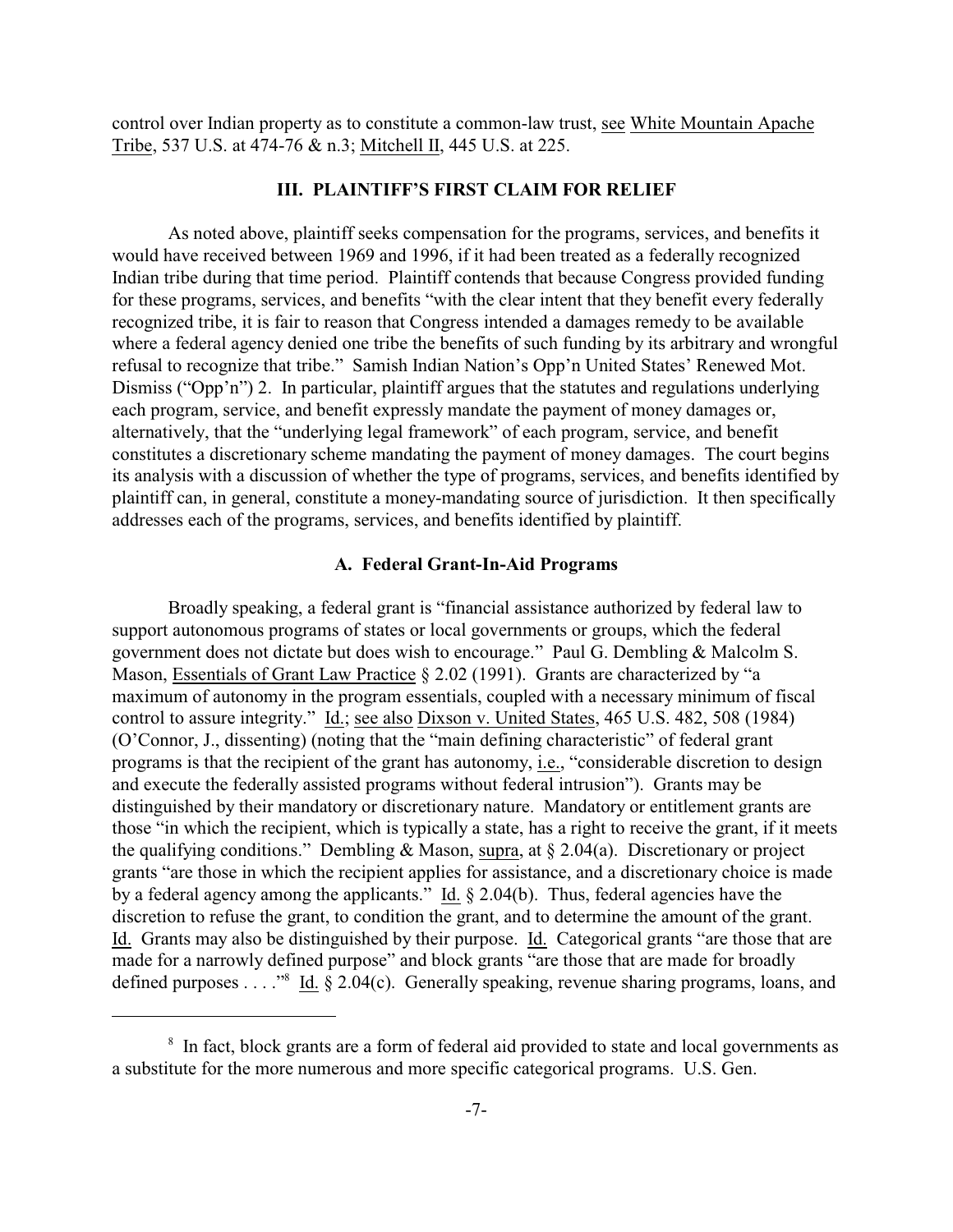control over Indian property as to constitute a common-law trust, see White Mountain Apache Tribe, 537 U.S. at 474-76 & n.3; Mitchell II, 445 U.S. at 225.

## **III. PLAINTIFF'S FIRST CLAIM FOR RELIEF**

As noted above, plaintiff seeks compensation for the programs, services, and benefits it would have received between 1969 and 1996, if it had been treated as a federally recognized Indian tribe during that time period. Plaintiff contends that because Congress provided funding for these programs, services, and benefits "with the clear intent that they benefit every federally recognized tribe, it is fair to reason that Congress intended a damages remedy to be available where a federal agency denied one tribe the benefits of such funding by its arbitrary and wrongful refusal to recognize that tribe." Samish Indian Nation's Opp'n United States' Renewed Mot. Dismiss ("Opp'n") 2. In particular, plaintiff argues that the statutes and regulations underlying each program, service, and benefit expressly mandate the payment of money damages or, alternatively, that the "underlying legal framework" of each program, service, and benefit constitutes a discretionary scheme mandating the payment of money damages. The court begins its analysis with a discussion of whether the type of programs, services, and benefits identified by plaintiff can, in general, constitute a money-mandating source of jurisdiction. It then specifically addresses each of the programs, services, and benefits identified by plaintiff.

### **A. Federal Grant-In-Aid Programs**

Broadly speaking, a federal grant is "financial assistance authorized by federal law to support autonomous programs of states or local governments or groups, which the federal government does not dictate but does wish to encourage." Paul G. Dembling & Malcolm S. Mason, Essentials of Grant Law Practice § 2.02 (1991). Grants are characterized by "a maximum of autonomy in the program essentials, coupled with a necessary minimum of fiscal control to assure integrity." Id.; see also Dixson v. United States, 465 U.S. 482, 508 (1984) (O'Connor, J., dissenting) (noting that the "main defining characteristic" of federal grant programs is that the recipient of the grant has autonomy, i.e., "considerable discretion to design and execute the federally assisted programs without federal intrusion"). Grants may be distinguished by their mandatory or discretionary nature. Mandatory or entitlement grants are those "in which the recipient, which is typically a state, has a right to receive the grant, if it meets the qualifying conditions." Dembling & Mason, supra, at  $\S 2.04(a)$ . Discretionary or project grants "are those in which the recipient applies for assistance, and a discretionary choice is made by a federal agency among the applicants." Id. § 2.04(b). Thus, federal agencies have the discretion to refuse the grant, to condition the grant, and to determine the amount of the grant. Id. Grants may also be distinguished by their purpose. Id. Categorical grants "are those that are made for a narrowly defined purpose" and block grants "are those that are made for broadly defined purposes . . . . . .  $\frac{1}{3}$  Id. § 2.04(c). Generally speaking, revenue sharing programs, loans, and

<sup>&</sup>lt;sup>8</sup> In fact, block grants are a form of federal aid provided to state and local governments as a substitute for the more numerous and more specific categorical programs. U.S. Gen.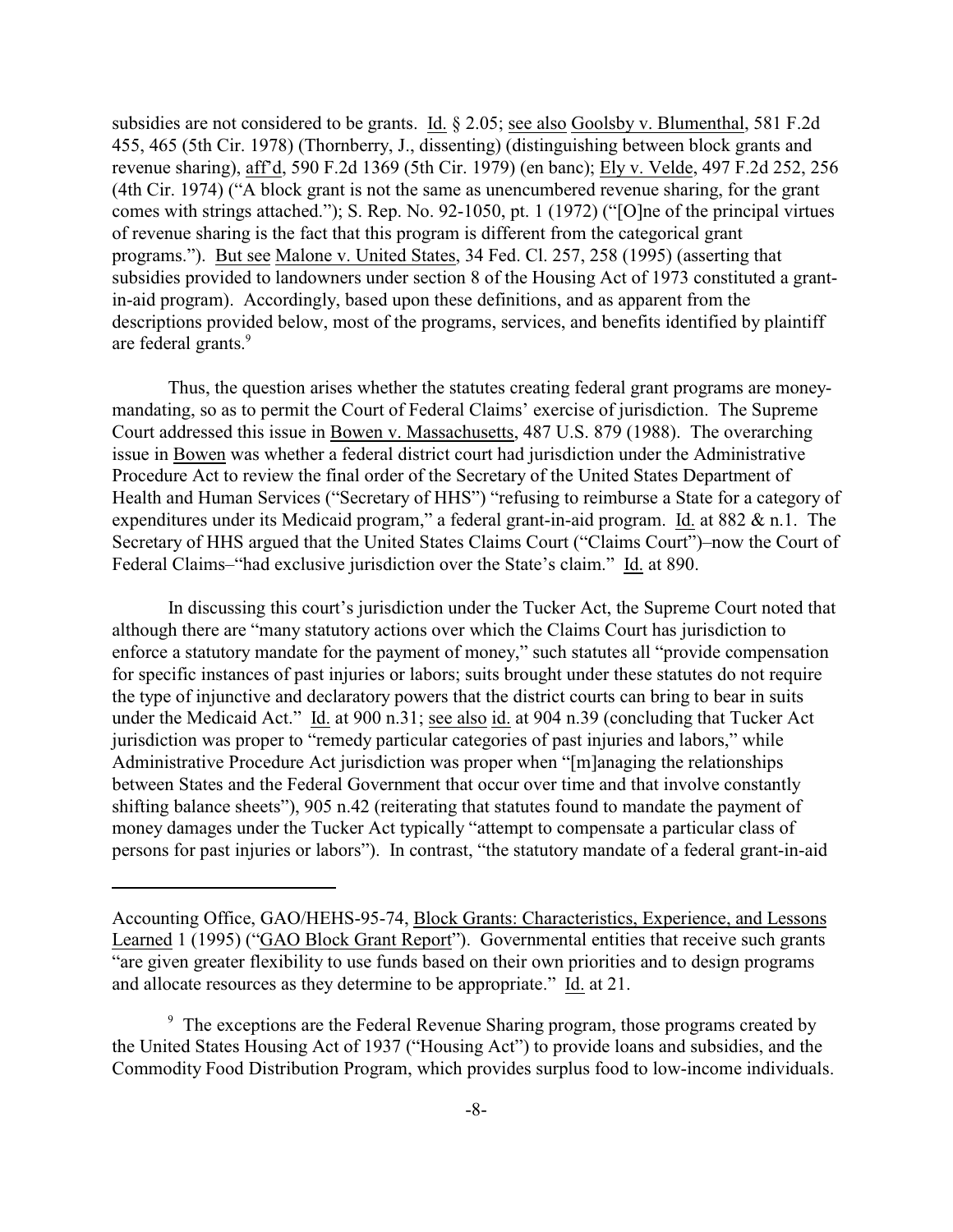subsidies are not considered to be grants. Id. § 2.05; see also Goolsby v. Blumenthal, 581 F.2d 455, 465 (5th Cir. 1978) (Thornberry, J., dissenting) (distinguishing between block grants and revenue sharing), aff'd, 590 F.2d 1369 (5th Cir. 1979) (en banc); Ely v. Velde, 497 F.2d 252, 256 (4th Cir. 1974) ("A block grant is not the same as unencumbered revenue sharing, for the grant comes with strings attached."); S. Rep. No. 92-1050, pt. 1 (1972) ("[O]ne of the principal virtues of revenue sharing is the fact that this program is different from the categorical grant programs."). But see Malone v. United States, 34 Fed. Cl. 257, 258 (1995) (asserting that subsidies provided to landowners under section 8 of the Housing Act of 1973 constituted a grantin-aid program). Accordingly, based upon these definitions, and as apparent from the descriptions provided below, most of the programs, services, and benefits identified by plaintiff are federal grants.<sup>9</sup>

Thus, the question arises whether the statutes creating federal grant programs are moneymandating, so as to permit the Court of Federal Claims' exercise of jurisdiction. The Supreme Court addressed this issue in Bowen v. Massachusetts, 487 U.S. 879 (1988). The overarching issue in Bowen was whether a federal district court had jurisdiction under the Administrative Procedure Act to review the final order of the Secretary of the United States Department of Health and Human Services ("Secretary of HHS") "refusing to reimburse a State for a category of expenditures under its Medicaid program," a federal grant-in-aid program. Id. at 882 & n.1. The Secretary of HHS argued that the United States Claims Court ("Claims Court")–now the Court of Federal Claims–"had exclusive jurisdiction over the State's claim." Id. at 890.

In discussing this court's jurisdiction under the Tucker Act, the Supreme Court noted that although there are "many statutory actions over which the Claims Court has jurisdiction to enforce a statutory mandate for the payment of money," such statutes all "provide compensation for specific instances of past injuries or labors; suits brought under these statutes do not require the type of injunctive and declaratory powers that the district courts can bring to bear in suits under the Medicaid Act." Id. at 900 n.31; see also id. at 904 n.39 (concluding that Tucker Act jurisdiction was proper to "remedy particular categories of past injuries and labors," while Administrative Procedure Act jurisdiction was proper when "[m]anaging the relationships between States and the Federal Government that occur over time and that involve constantly shifting balance sheets"), 905 n.42 (reiterating that statutes found to mandate the payment of money damages under the Tucker Act typically "attempt to compensate a particular class of persons for past injuries or labors"). In contrast, "the statutory mandate of a federal grant-in-aid

Accounting Office, GAO/HEHS-95-74, Block Grants: Characteristics, Experience, and Lessons Learned 1 (1995) ("GAO Block Grant Report"). Governmental entities that receive such grants "are given greater flexibility to use funds based on their own priorities and to design programs and allocate resources as they determine to be appropriate." Id. at 21.

<sup>&</sup>lt;sup>9</sup> The exceptions are the Federal Revenue Sharing program, those programs created by the United States Housing Act of 1937 ("Housing Act") to provide loans and subsidies, and the Commodity Food Distribution Program, which provides surplus food to low-income individuals.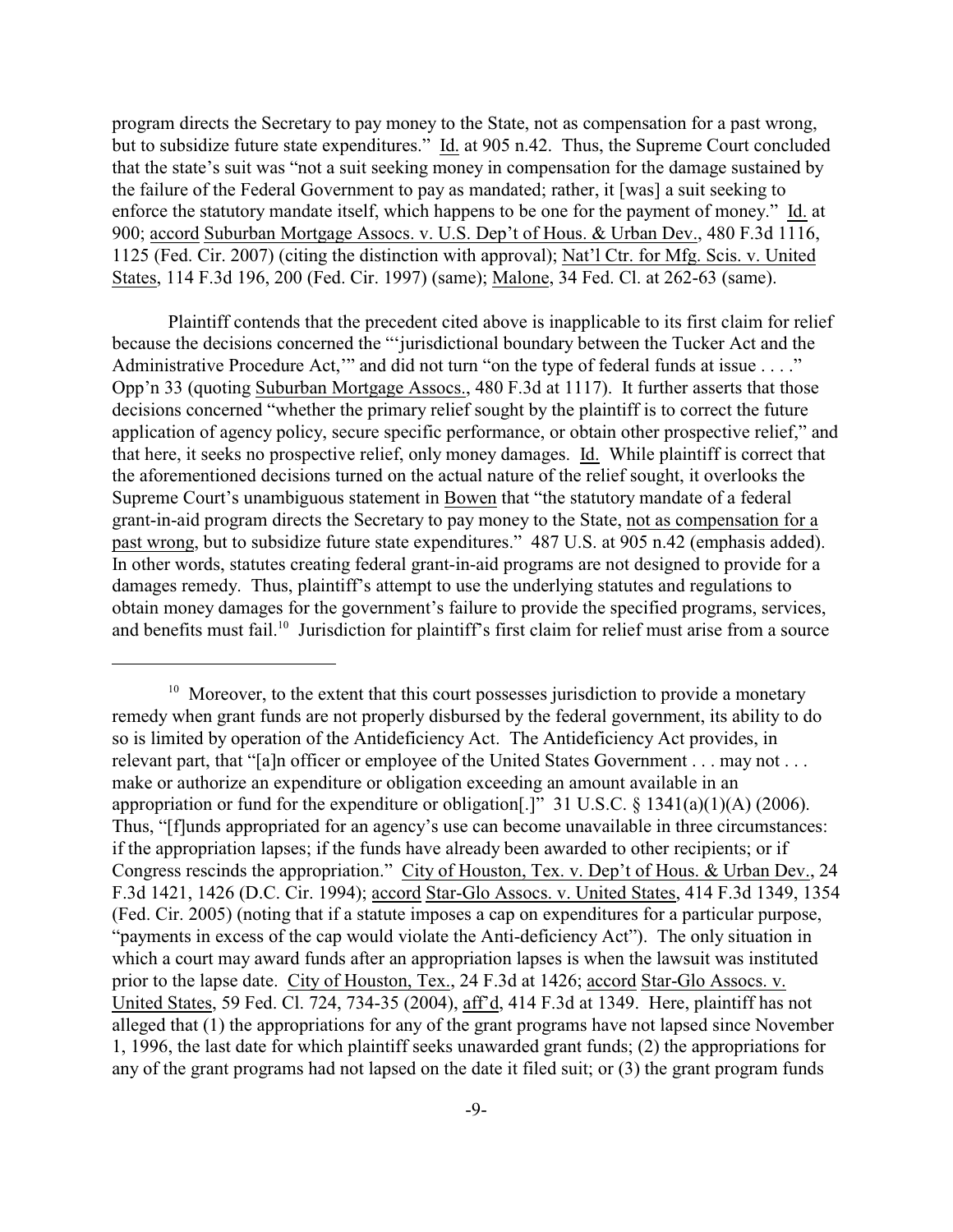program directs the Secretary to pay money to the State, not as compensation for a past wrong, but to subsidize future state expenditures." Id. at 905 n.42. Thus, the Supreme Court concluded that the state's suit was "not a suit seeking money in compensation for the damage sustained by the failure of the Federal Government to pay as mandated; rather, it [was] a suit seeking to enforce the statutory mandate itself, which happens to be one for the payment of money." Id. at 900; accord Suburban Mortgage Assocs. v. U.S. Dep't of Hous. & Urban Dev., 480 F.3d 1116, 1125 (Fed. Cir. 2007) (citing the distinction with approval); Nat'l Ctr. for Mfg. Scis. v. United States, 114 F.3d 196, 200 (Fed. Cir. 1997) (same); Malone, 34 Fed. Cl. at 262-63 (same).

Plaintiff contends that the precedent cited above is inapplicable to its first claim for relief because the decisions concerned the "'jurisdictional boundary between the Tucker Act and the Administrative Procedure Act," and did not turn "on the type of federal funds at issue . . . ." Opp'n 33 (quoting Suburban Mortgage Assocs., 480 F.3d at 1117). It further asserts that those decisions concerned "whether the primary relief sought by the plaintiff is to correct the future application of agency policy, secure specific performance, or obtain other prospective relief," and that here, it seeks no prospective relief, only money damages. Id. While plaintiff is correct that the aforementioned decisions turned on the actual nature of the relief sought, it overlooks the Supreme Court's unambiguous statement in Bowen that "the statutory mandate of a federal grant-in-aid program directs the Secretary to pay money to the State, not as compensation for a past wrong, but to subsidize future state expenditures." 487 U.S. at 905 n.42 (emphasis added). In other words, statutes creating federal grant-in-aid programs are not designed to provide for a damages remedy. Thus, plaintiff's attempt to use the underlying statutes and regulations to obtain money damages for the government's failure to provide the specified programs, services, and benefits must fail.<sup>10</sup> Jurisdiction for plaintiff's first claim for relief must arise from a source

 $10$  Moreover, to the extent that this court possesses jurisdiction to provide a monetary remedy when grant funds are not properly disbursed by the federal government, its ability to do so is limited by operation of the Antideficiency Act. The Antideficiency Act provides, in relevant part, that "[a]n officer or employee of the United States Government . . . may not . . . make or authorize an expenditure or obligation exceeding an amount available in an appropriation or fund for the expenditure or obligation[.]" 31 U.S.C. § 1341(a)(1)(A) (2006). Thus, "[f]unds appropriated for an agency's use can become unavailable in three circumstances: if the appropriation lapses; if the funds have already been awarded to other recipients; or if Congress rescinds the appropriation." City of Houston, Tex. v. Dep't of Hous. & Urban Dev., 24 F.3d 1421, 1426 (D.C. Cir. 1994); accord Star-Glo Assocs. v. United States, 414 F.3d 1349, 1354 (Fed. Cir. 2005) (noting that if a statute imposes a cap on expenditures for a particular purpose, "payments in excess of the cap would violate the Anti-deficiency Act"). The only situation in which a court may award funds after an appropriation lapses is when the lawsuit was instituted prior to the lapse date. City of Houston, Tex., 24 F.3d at 1426; accord Star-Glo Assocs. v. United States, 59 Fed. Cl. 724, 734-35 (2004), aff'd, 414 F.3d at 1349. Here, plaintiff has not alleged that (1) the appropriations for any of the grant programs have not lapsed since November 1, 1996, the last date for which plaintiff seeks unawarded grant funds; (2) the appropriations for any of the grant programs had not lapsed on the date it filed suit; or (3) the grant program funds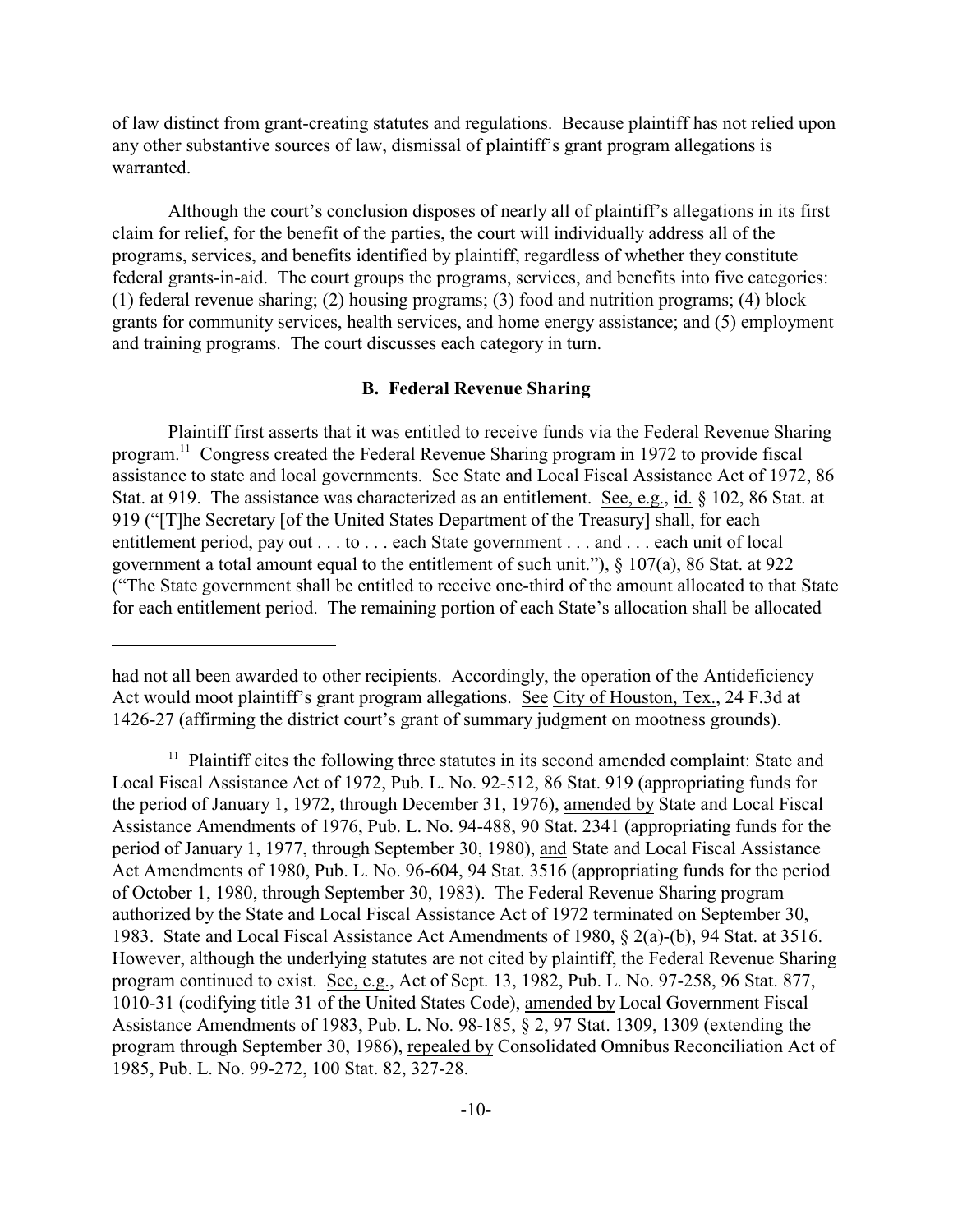of law distinct from grant-creating statutes and regulations. Because plaintiff has not relied upon any other substantive sources of law, dismissal of plaintiff's grant program allegations is warranted.

Although the court's conclusion disposes of nearly all of plaintiff's allegations in its first claim for relief, for the benefit of the parties, the court will individually address all of the programs, services, and benefits identified by plaintiff, regardless of whether they constitute federal grants-in-aid. The court groups the programs, services, and benefits into five categories: (1) federal revenue sharing; (2) housing programs; (3) food and nutrition programs; (4) block grants for community services, health services, and home energy assistance; and (5) employment and training programs. The court discusses each category in turn.

## **B. Federal Revenue Sharing**

Plaintiff first asserts that it was entitled to receive funds via the Federal Revenue Sharing program.<sup>11</sup> Congress created the Federal Revenue Sharing program in 1972 to provide fiscal assistance to state and local governments. See State and Local Fiscal Assistance Act of 1972, 86 Stat. at 919. The assistance was characterized as an entitlement. See, e.g., id. § 102, 86 Stat. at 919 ("[T]he Secretary [of the United States Department of the Treasury] shall, for each entitlement period, pay out . . . to . . . each State government . . . and . . . each unit of local government a total amount equal to the entitlement of such unit."), § 107(a), 86 Stat. at 922 ("The State government shall be entitled to receive one-third of the amount allocated to that State for each entitlement period. The remaining portion of each State's allocation shall be allocated

had not all been awarded to other recipients. Accordingly, the operation of the Antideficiency Act would moot plaintiff's grant program allegations. See City of Houston, Tex., 24 F.3d at 1426-27 (affirming the district court's grant of summary judgment on mootness grounds).

 $11$  Plaintiff cites the following three statutes in its second amended complaint: State and Local Fiscal Assistance Act of 1972, Pub. L. No. 92-512, 86 Stat. 919 (appropriating funds for the period of January 1, 1972, through December 31, 1976), amended by State and Local Fiscal Assistance Amendments of 1976, Pub. L. No. 94-488, 90 Stat. 2341 (appropriating funds for the period of January 1, 1977, through September 30, 1980), and State and Local Fiscal Assistance Act Amendments of 1980, Pub. L. No. 96-604, 94 Stat. 3516 (appropriating funds for the period of October 1, 1980, through September 30, 1983). The Federal Revenue Sharing program authorized by the State and Local Fiscal Assistance Act of 1972 terminated on September 30, 1983. State and Local Fiscal Assistance Act Amendments of 1980, § 2(a)-(b), 94 Stat. at 3516. However, although the underlying statutes are not cited by plaintiff, the Federal Revenue Sharing program continued to exist. See, e.g., Act of Sept. 13, 1982, Pub. L. No. 97-258, 96 Stat. 877, 1010-31 (codifying title 31 of the United States Code), amended by Local Government Fiscal Assistance Amendments of 1983, Pub. L. No. 98-185, § 2, 97 Stat. 1309, 1309 (extending the program through September 30, 1986), repealed by Consolidated Omnibus Reconciliation Act of 1985, Pub. L. No. 99-272, 100 Stat. 82, 327-28.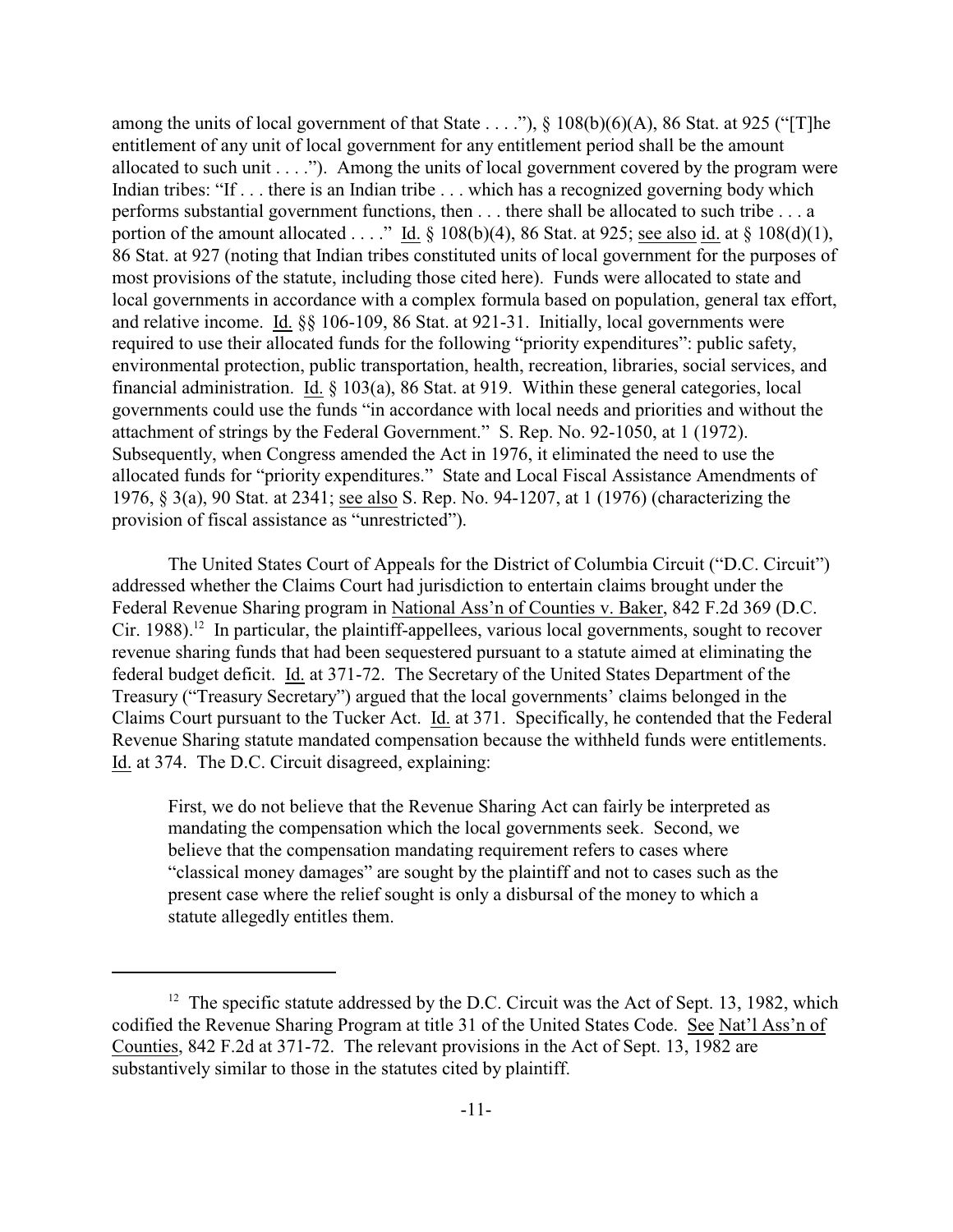among the units of local government of that State . . . ."),  $\S$  108(b)(6)(A), 86 Stat. at 925 ("[T]he entitlement of any unit of local government for any entitlement period shall be the amount allocated to such unit  $\dots$ ."). Among the units of local government covered by the program were Indian tribes: "If . . . there is an Indian tribe . . . which has a recognized governing body which performs substantial government functions, then . . . there shall be allocated to such tribe . . . a portion of the amount allocated . . . ." Id.  $\S$  108(b)(4), 86 Stat. at 925; see also id. at  $\S$  108(d)(1), 86 Stat. at 927 (noting that Indian tribes constituted units of local government for the purposes of most provisions of the statute, including those cited here). Funds were allocated to state and local governments in accordance with a complex formula based on population, general tax effort, and relative income. Id. §§ 106-109, 86 Stat. at 921-31. Initially, local governments were required to use their allocated funds for the following "priority expenditures": public safety, environmental protection, public transportation, health, recreation, libraries, social services, and financial administration. Id. § 103(a), 86 Stat. at 919. Within these general categories, local governments could use the funds "in accordance with local needs and priorities and without the attachment of strings by the Federal Government." S. Rep. No. 92-1050, at 1 (1972). Subsequently, when Congress amended the Act in 1976, it eliminated the need to use the allocated funds for "priority expenditures." State and Local Fiscal Assistance Amendments of 1976, § 3(a), 90 Stat. at 2341; see also S. Rep. No. 94-1207, at 1 (1976) (characterizing the provision of fiscal assistance as "unrestricted").

The United States Court of Appeals for the District of Columbia Circuit ("D.C. Circuit") addressed whether the Claims Court had jurisdiction to entertain claims brought under the Federal Revenue Sharing program in National Ass'n of Counties v. Baker, 842 F.2d 369 (D.C. Cir. 1988).<sup>12</sup> In particular, the plaintiff-appellees, various local governments, sought to recover revenue sharing funds that had been sequestered pursuant to a statute aimed at eliminating the federal budget deficit. Id. at 371-72. The Secretary of the United States Department of the Treasury ("Treasury Secretary") argued that the local governments' claims belonged in the Claims Court pursuant to the Tucker Act. Id. at 371. Specifically, he contended that the Federal Revenue Sharing statute mandated compensation because the withheld funds were entitlements. Id. at 374. The D.C. Circuit disagreed, explaining:

First, we do not believe that the Revenue Sharing Act can fairly be interpreted as mandating the compensation which the local governments seek. Second, we believe that the compensation mandating requirement refers to cases where "classical money damages" are sought by the plaintiff and not to cases such as the present case where the relief sought is only a disbursal of the money to which a statute allegedly entitles them.

 $12$  The specific statute addressed by the D.C. Circuit was the Act of Sept. 13, 1982, which codified the Revenue Sharing Program at title 31 of the United States Code. See Nat'l Ass'n of Counties, 842 F.2d at 371-72. The relevant provisions in the Act of Sept. 13, 1982 are substantively similar to those in the statutes cited by plaintiff.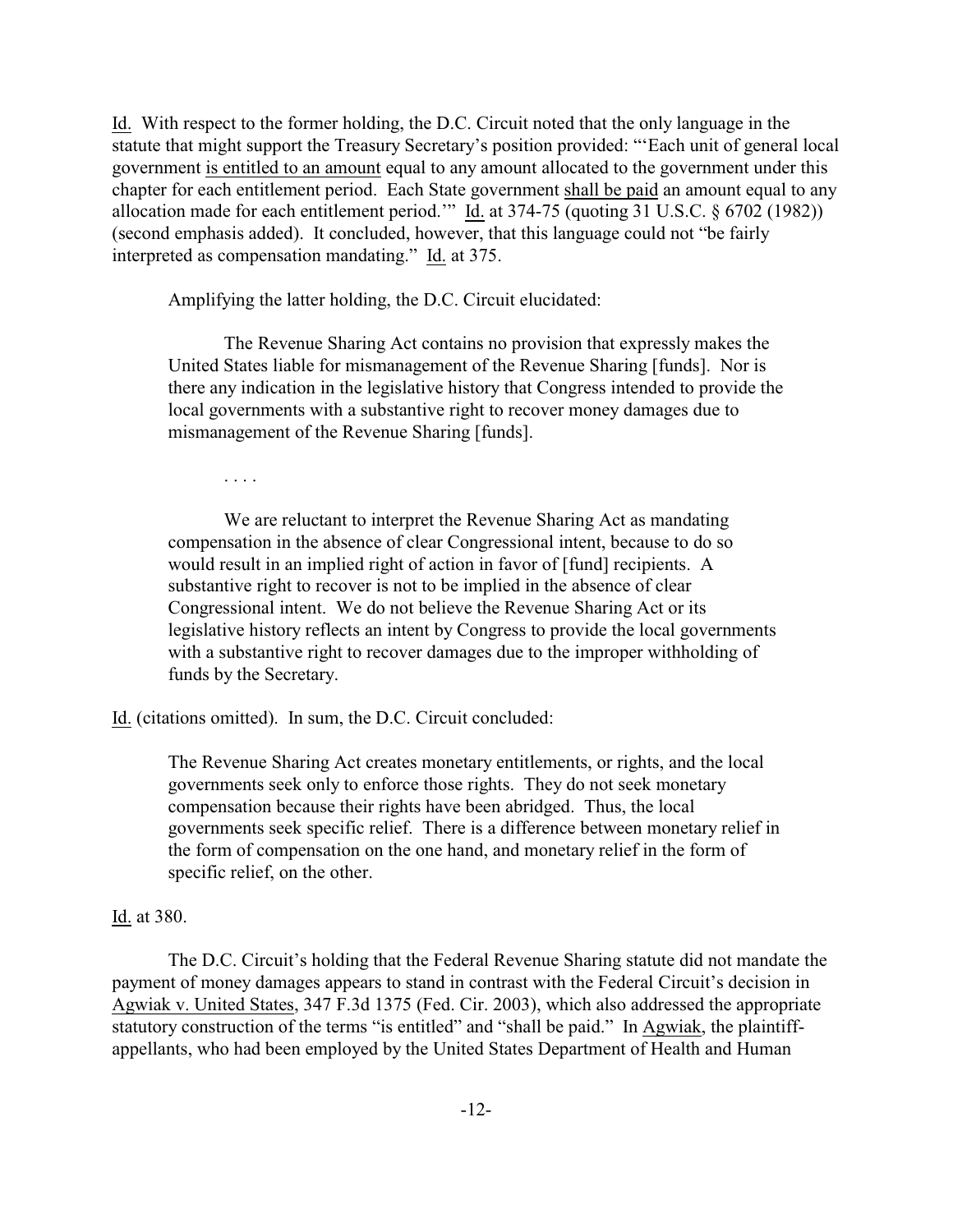Id. With respect to the former holding, the D.C. Circuit noted that the only language in the statute that might support the Treasury Secretary's position provided: "'Each unit of general local government is entitled to an amount equal to any amount allocated to the government under this chapter for each entitlement period. Each State government shall be paid an amount equal to any allocation made for each entitlement period." Id. at 374-75 (quoting 31 U.S.C. § 6702 (1982)) (second emphasis added). It concluded, however, that this language could not "be fairly interpreted as compensation mandating." Id. at 375.

Amplifying the latter holding, the D.C. Circuit elucidated:

The Revenue Sharing Act contains no provision that expressly makes the United States liable for mismanagement of the Revenue Sharing [funds]. Nor is there any indication in the legislative history that Congress intended to provide the local governments with a substantive right to recover money damages due to mismanagement of the Revenue Sharing [funds].

. . . .

We are reluctant to interpret the Revenue Sharing Act as mandating compensation in the absence of clear Congressional intent, because to do so would result in an implied right of action in favor of [fund] recipients. A substantive right to recover is not to be implied in the absence of clear Congressional intent. We do not believe the Revenue Sharing Act or its legislative history reflects an intent by Congress to provide the local governments with a substantive right to recover damages due to the improper withholding of funds by the Secretary.

Id. (citations omitted). In sum, the D.C. Circuit concluded:

The Revenue Sharing Act creates monetary entitlements, or rights, and the local governments seek only to enforce those rights. They do not seek monetary compensation because their rights have been abridged. Thus, the local governments seek specific relief. There is a difference between monetary relief in the form of compensation on the one hand, and monetary relief in the form of specific relief, on the other.

#### Id. at 380.

The D.C. Circuit's holding that the Federal Revenue Sharing statute did not mandate the payment of money damages appears to stand in contrast with the Federal Circuit's decision in Agwiak v. United States, 347 F.3d 1375 (Fed. Cir. 2003), which also addressed the appropriate statutory construction of the terms "is entitled" and "shall be paid." In Agwiak, the plaintiffappellants, who had been employed by the United States Department of Health and Human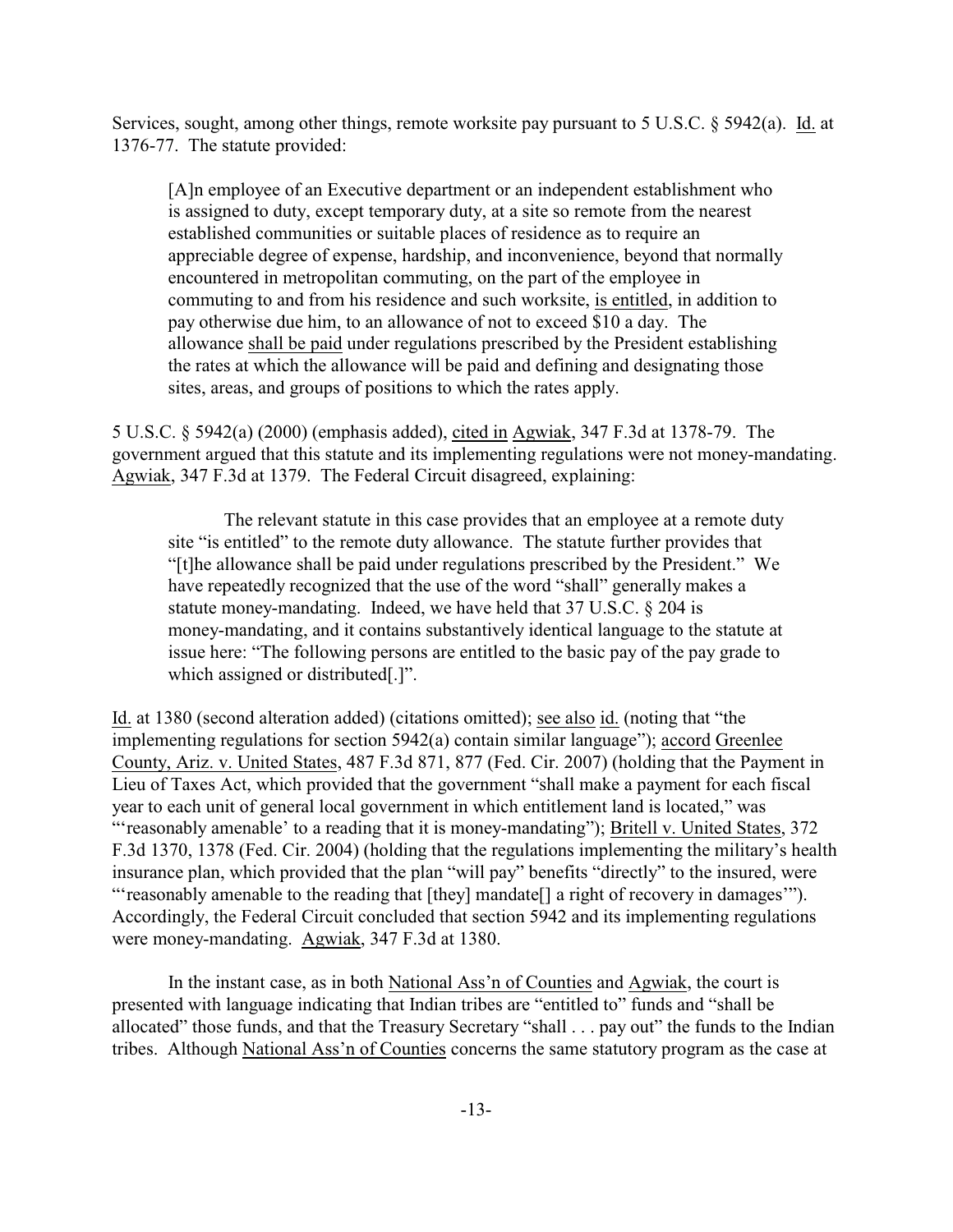Services, sought, among other things, remote worksite pay pursuant to 5 U.S.C. § 5942(a). Id. at 1376-77. The statute provided:

[A]n employee of an Executive department or an independent establishment who is assigned to duty, except temporary duty, at a site so remote from the nearest established communities or suitable places of residence as to require an appreciable degree of expense, hardship, and inconvenience, beyond that normally encountered in metropolitan commuting, on the part of the employee in commuting to and from his residence and such worksite, is entitled, in addition to pay otherwise due him, to an allowance of not to exceed \$10 a day. The allowance shall be paid under regulations prescribed by the President establishing the rates at which the allowance will be paid and defining and designating those sites, areas, and groups of positions to which the rates apply.

5 U.S.C. § 5942(a) (2000) (emphasis added), cited in Agwiak, 347 F.3d at 1378-79. The government argued that this statute and its implementing regulations were not money-mandating. Agwiak, 347 F.3d at 1379. The Federal Circuit disagreed, explaining:

The relevant statute in this case provides that an employee at a remote duty site "is entitled" to the remote duty allowance. The statute further provides that "[t]he allowance shall be paid under regulations prescribed by the President." We have repeatedly recognized that the use of the word "shall" generally makes a statute money-mandating. Indeed, we have held that 37 U.S.C. § 204 is money-mandating, and it contains substantively identical language to the statute at issue here: "The following persons are entitled to the basic pay of the pay grade to which assigned or distributed[.]".

Id. at 1380 (second alteration added) (citations omitted); see also id. (noting that "the implementing regulations for section 5942(a) contain similar language"); accord Greenlee County, Ariz. v. United States, 487 F.3d 871, 877 (Fed. Cir. 2007) (holding that the Payment in Lieu of Taxes Act, which provided that the government "shall make a payment for each fiscal year to each unit of general local government in which entitlement land is located," was "'reasonably amenable' to a reading that it is money-mandating"); Britell v. United States, 372 F.3d 1370, 1378 (Fed. Cir. 2004) (holding that the regulations implementing the military's health insurance plan, which provided that the plan "will pay" benefits "directly" to the insured, were "'reasonably amenable to the reading that [they] mandate[] a right of recovery in damages'"). Accordingly, the Federal Circuit concluded that section 5942 and its implementing regulations were money-mandating. Agwiak, 347 F.3d at 1380.

In the instant case, as in both National Ass'n of Counties and Agwiak, the court is presented with language indicating that Indian tribes are "entitled to" funds and "shall be allocated" those funds, and that the Treasury Secretary "shall . . . pay out" the funds to the Indian tribes. Although National Ass'n of Counties concerns the same statutory program as the case at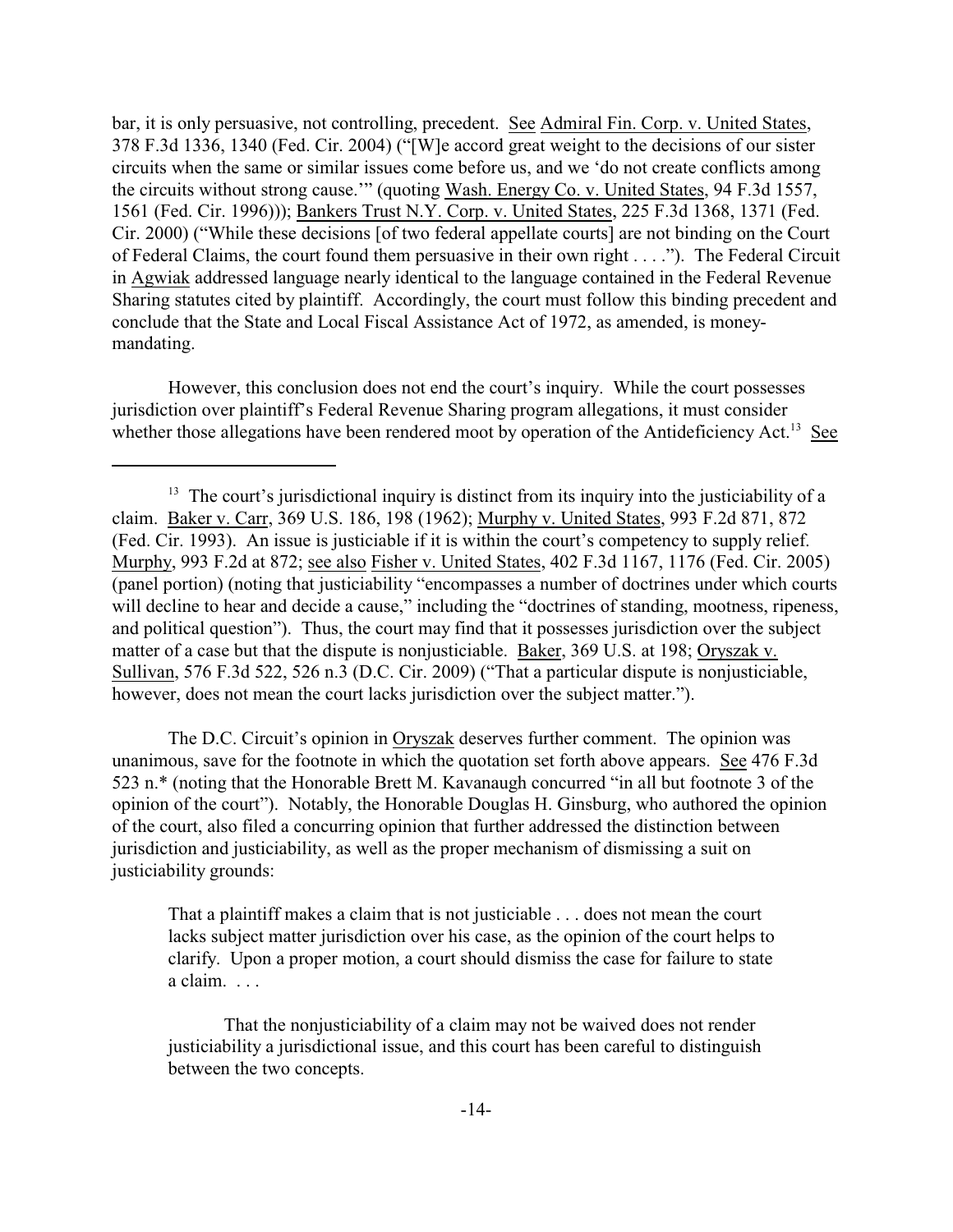bar, it is only persuasive, not controlling, precedent. See Admiral Fin. Corp. v. United States, 378 F.3d 1336, 1340 (Fed. Cir. 2004) ("[W]e accord great weight to the decisions of our sister circuits when the same or similar issues come before us, and we 'do not create conflicts among the circuits without strong cause.'" (quoting Wash. Energy Co. v. United States, 94 F.3d 1557, 1561 (Fed. Cir. 1996))); Bankers Trust N.Y. Corp. v. United States, 225 F.3d 1368, 1371 (Fed. Cir. 2000) ("While these decisions [of two federal appellate courts] are not binding on the Court of Federal Claims, the court found them persuasive in their own right . . . ."). The Federal Circuit in Agwiak addressed language nearly identical to the language contained in the Federal Revenue Sharing statutes cited by plaintiff. Accordingly, the court must follow this binding precedent and conclude that the State and Local Fiscal Assistance Act of 1972, as amended, is moneymandating.

However, this conclusion does not end the court's inquiry. While the court possesses jurisdiction over plaintiff's Federal Revenue Sharing program allegations, it must consider whether those allegations have been rendered moot by operation of the Antideficiency Act.<sup>13</sup> See

The D.C. Circuit's opinion in Oryszak deserves further comment. The opinion was unanimous, save for the footnote in which the quotation set forth above appears. See 476 F.3d 523 n.\* (noting that the Honorable Brett M. Kavanaugh concurred "in all but footnote 3 of the opinion of the court"). Notably, the Honorable Douglas H. Ginsburg, who authored the opinion of the court, also filed a concurring opinion that further addressed the distinction between jurisdiction and justiciability, as well as the proper mechanism of dismissing a suit on justiciability grounds:

That a plaintiff makes a claim that is not justiciable . . . does not mean the court lacks subject matter jurisdiction over his case, as the opinion of the court helps to clarify. Upon a proper motion, a court should dismiss the case for failure to state a claim. . . .

That the nonjusticiability of a claim may not be waived does not render justiciability a jurisdictional issue, and this court has been careful to distinguish between the two concepts.

 $13$  The court's jurisdictional inquiry is distinct from its inquiry into the justiciability of a claim. Baker v. Carr, 369 U.S. 186, 198 (1962); Murphy v. United States, 993 F.2d 871, 872 (Fed. Cir. 1993). An issue is justiciable if it is within the court's competency to supply relief. Murphy, 993 F.2d at 872; see also Fisher v. United States, 402 F.3d 1167, 1176 (Fed. Cir. 2005) (panel portion) (noting that justiciability "encompasses a number of doctrines under which courts will decline to hear and decide a cause," including the "doctrines of standing, mootness, ripeness, and political question"). Thus, the court may find that it possesses jurisdiction over the subject matter of a case but that the dispute is nonjusticiable. Baker, 369 U.S. at 198; Oryszak v. Sullivan, 576 F.3d 522, 526 n.3 (D.C. Cir. 2009) ("That a particular dispute is nonjusticiable, however, does not mean the court lacks jurisdiction over the subject matter.").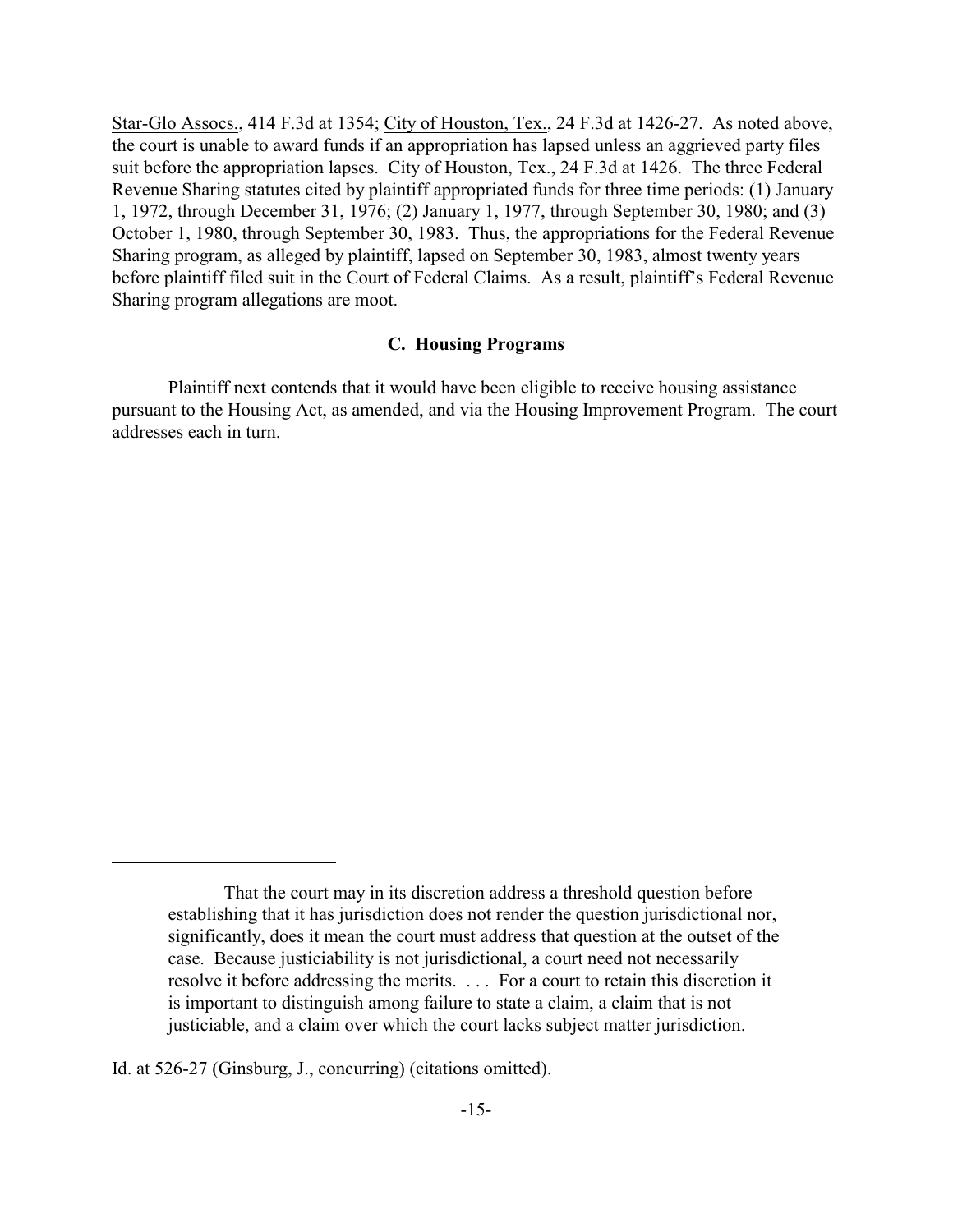Star-Glo Assocs., 414 F.3d at 1354; City of Houston, Tex., 24 F.3d at 1426-27. As noted above, the court is unable to award funds if an appropriation has lapsed unless an aggrieved party files suit before the appropriation lapses. City of Houston, Tex., 24 F.3d at 1426. The three Federal Revenue Sharing statutes cited by plaintiff appropriated funds for three time periods: (1) January 1, 1972, through December 31, 1976; (2) January 1, 1977, through September 30, 1980; and (3) October 1, 1980, through September 30, 1983. Thus, the appropriations for the Federal Revenue Sharing program, as alleged by plaintiff, lapsed on September 30, 1983, almost twenty years before plaintiff filed suit in the Court of Federal Claims. As a result, plaintiff's Federal Revenue Sharing program allegations are moot.

## **C. Housing Programs**

Plaintiff next contends that it would have been eligible to receive housing assistance pursuant to the Housing Act, as amended, and via the Housing Improvement Program. The court addresses each in turn.

Id. at 526-27 (Ginsburg, J., concurring) (citations omitted).

That the court may in its discretion address a threshold question before establishing that it has jurisdiction does not render the question jurisdictional nor, significantly, does it mean the court must address that question at the outset of the case. Because justiciability is not jurisdictional, a court need not necessarily resolve it before addressing the merits. . . . For a court to retain this discretion it is important to distinguish among failure to state a claim, a claim that is not justiciable, and a claim over which the court lacks subject matter jurisdiction.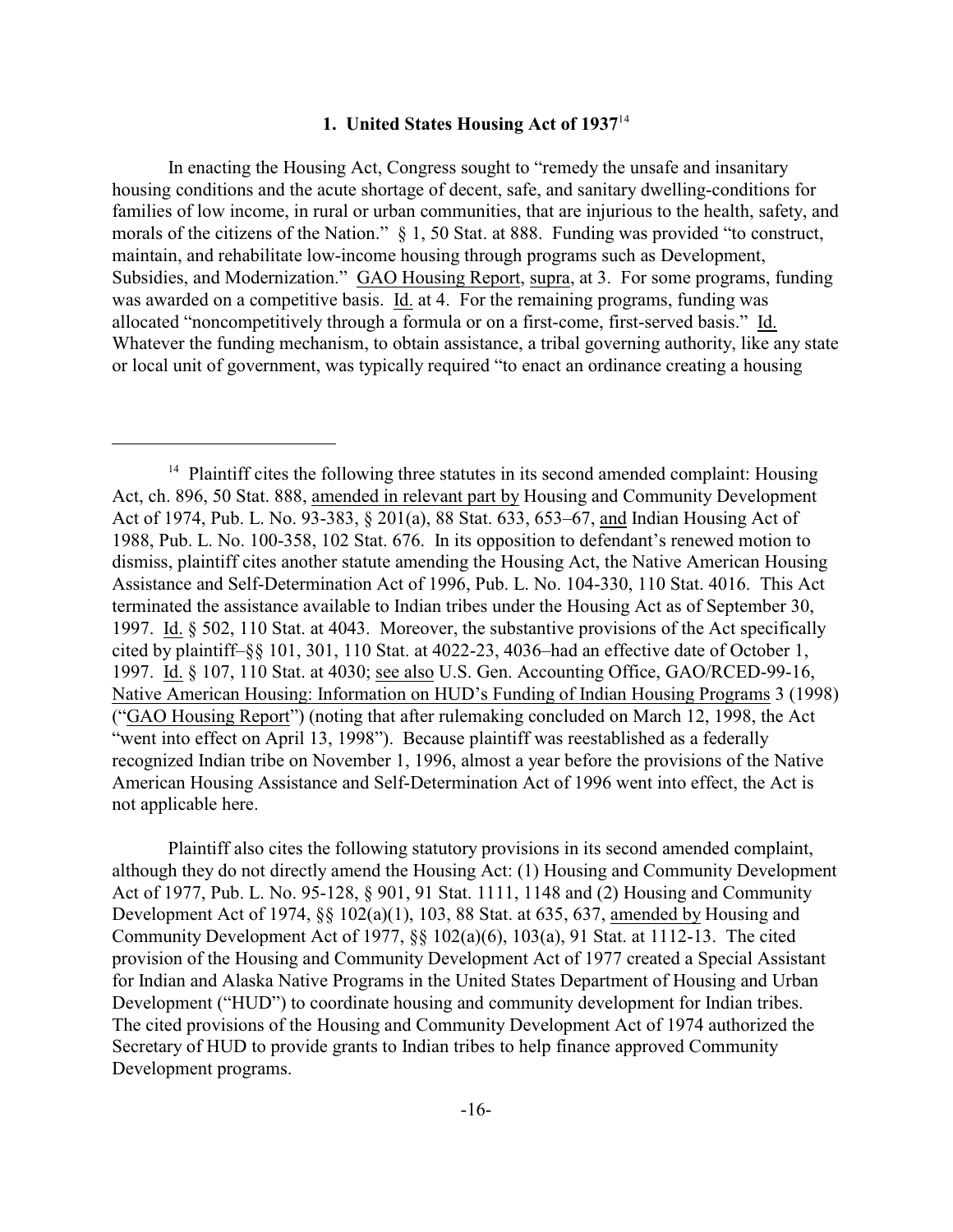## **1. United States Housing Act of 1937**<sup>14</sup>

In enacting the Housing Act, Congress sought to "remedy the unsafe and insanitary housing conditions and the acute shortage of decent, safe, and sanitary dwelling-conditions for families of low income, in rural or urban communities, that are injurious to the health, safety, and morals of the citizens of the Nation." § 1, 50 Stat. at 888. Funding was provided "to construct, maintain, and rehabilitate low-income housing through programs such as Development, Subsidies, and Modernization." GAO Housing Report, supra, at 3. For some programs, funding was awarded on a competitive basis. Id. at 4. For the remaining programs, funding was allocated "noncompetitively through a formula or on a first-come, first-served basis." Id. Whatever the funding mechanism, to obtain assistance, a tribal governing authority, like any state or local unit of government, was typically required "to enact an ordinance creating a housing

Plaintiff also cites the following statutory provisions in its second amended complaint, although they do not directly amend the Housing Act: (1) Housing and Community Development Act of 1977, Pub. L. No. 95-128, § 901, 91 Stat. 1111, 1148 and (2) Housing and Community Development Act of 1974, §§ 102(a)(1), 103, 88 Stat. at 635, 637, amended by Housing and Community Development Act of 1977, §§ 102(a)(6), 103(a), 91 Stat. at 1112-13. The cited provision of the Housing and Community Development Act of 1977 created a Special Assistant for Indian and Alaska Native Programs in the United States Department of Housing and Urban Development ("HUD") to coordinate housing and community development for Indian tribes. The cited provisions of the Housing and Community Development Act of 1974 authorized the Secretary of HUD to provide grants to Indian tribes to help finance approved Community Development programs.

 $14$  Plaintiff cites the following three statutes in its second amended complaint: Housing Act, ch. 896, 50 Stat. 888, amended in relevant part by Housing and Community Development Act of 1974, Pub. L. No. 93-383, § 201(a), 88 Stat. 633, 653–67, and Indian Housing Act of 1988, Pub. L. No. 100-358, 102 Stat. 676. In its opposition to defendant's renewed motion to dismiss, plaintiff cites another statute amending the Housing Act, the Native American Housing Assistance and Self-Determination Act of 1996, Pub. L. No. 104-330, 110 Stat. 4016. This Act terminated the assistance available to Indian tribes under the Housing Act as of September 30, 1997. Id. § 502, 110 Stat. at 4043. Moreover, the substantive provisions of the Act specifically cited by plaintiff–§§ 101, 301, 110 Stat. at 4022-23, 4036–had an effective date of October 1, 1997. Id. § 107, 110 Stat. at 4030; see also U.S. Gen. Accounting Office, GAO/RCED-99-16, Native American Housing: Information on HUD's Funding of Indian Housing Programs 3 (1998) ("GAO Housing Report") (noting that after rulemaking concluded on March 12, 1998, the Act "went into effect on April 13, 1998"). Because plaintiff was reestablished as a federally recognized Indian tribe on November 1, 1996, almost a year before the provisions of the Native American Housing Assistance and Self-Determination Act of 1996 went into effect, the Act is not applicable here.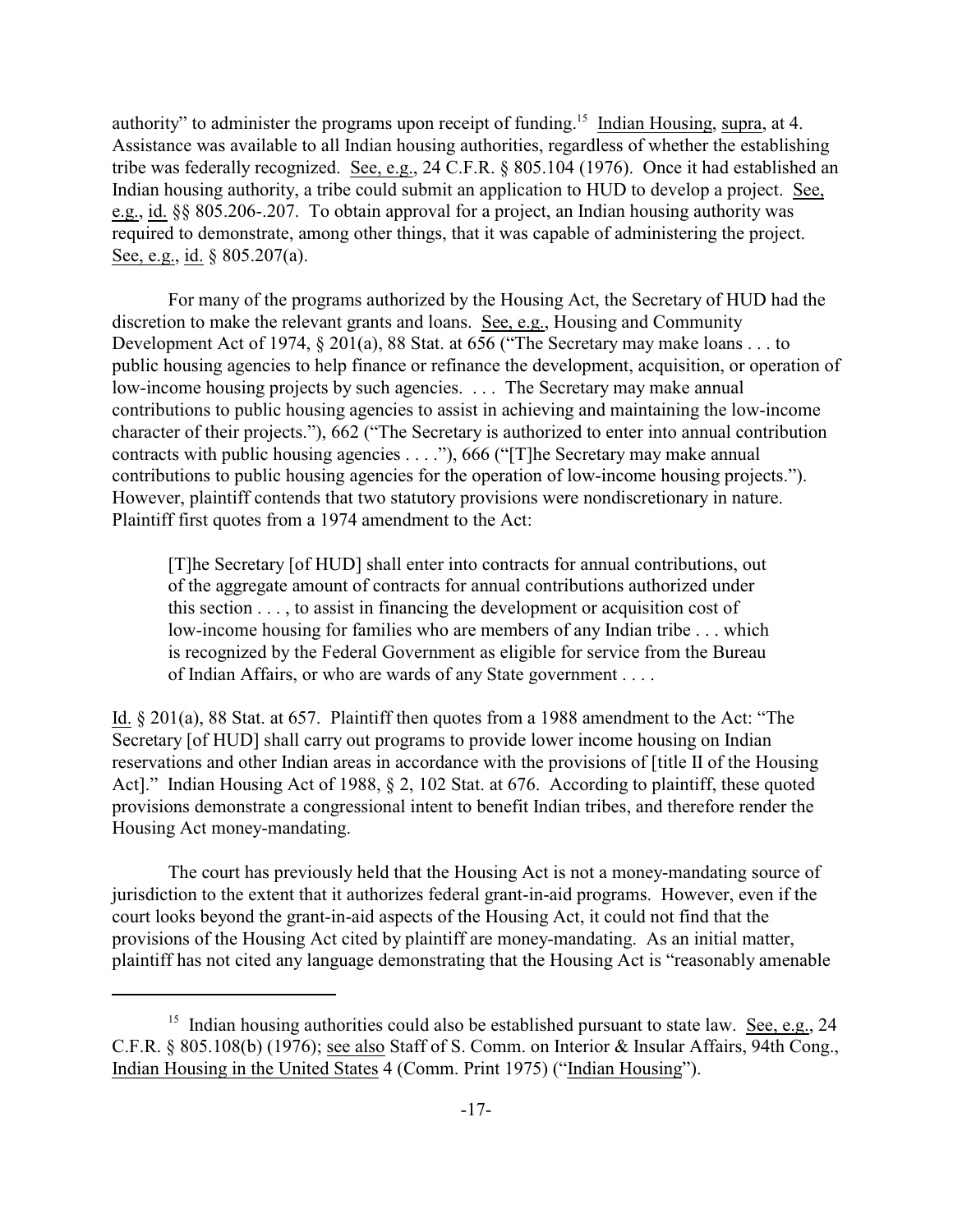authority" to administer the programs upon receipt of funding.<sup>15</sup> Indian Housing, supra, at 4. Assistance was available to all Indian housing authorities, regardless of whether the establishing tribe was federally recognized. See, e.g., 24 C.F.R. § 805.104 (1976). Once it had established an Indian housing authority, a tribe could submit an application to HUD to develop a project. See, e.g., id. §§ 805.206-.207. To obtain approval for a project, an Indian housing authority was required to demonstrate, among other things, that it was capable of administering the project. See, e.g., id. § 805.207(a).

For many of the programs authorized by the Housing Act, the Secretary of HUD had the discretion to make the relevant grants and loans. See, e.g., Housing and Community Development Act of 1974, § 201(a), 88 Stat. at 656 ("The Secretary may make loans . . . to public housing agencies to help finance or refinance the development, acquisition, or operation of low-income housing projects by such agencies. . . . The Secretary may make annual contributions to public housing agencies to assist in achieving and maintaining the low-income character of their projects."), 662 ("The Secretary is authorized to enter into annual contribution contracts with public housing agencies . . . ."), 666 ("[T]he Secretary may make annual contributions to public housing agencies for the operation of low-income housing projects."). However, plaintiff contends that two statutory provisions were nondiscretionary in nature. Plaintiff first quotes from a 1974 amendment to the Act:

[T]he Secretary [of HUD] shall enter into contracts for annual contributions, out of the aggregate amount of contracts for annual contributions authorized under this section . . . , to assist in financing the development or acquisition cost of low-income housing for families who are members of any Indian tribe . . . which is recognized by the Federal Government as eligible for service from the Bureau of Indian Affairs, or who are wards of any State government . . . .

Id. § 201(a), 88 Stat. at 657. Plaintiff then quotes from a 1988 amendment to the Act: "The Secretary [of HUD] shall carry out programs to provide lower income housing on Indian reservations and other Indian areas in accordance with the provisions of [title II of the Housing Act]." Indian Housing Act of 1988, § 2, 102 Stat. at 676. According to plaintiff, these quoted provisions demonstrate a congressional intent to benefit Indian tribes, and therefore render the Housing Act money-mandating.

The court has previously held that the Housing Act is not a money-mandating source of jurisdiction to the extent that it authorizes federal grant-in-aid programs. However, even if the court looks beyond the grant-in-aid aspects of the Housing Act, it could not find that the provisions of the Housing Act cited by plaintiff are money-mandating. As an initial matter, plaintiff has not cited any language demonstrating that the Housing Act is "reasonably amenable

<sup>&</sup>lt;sup>15</sup> Indian housing authorities could also be established pursuant to state law. See, e.g., 24 C.F.R. § 805.108(b) (1976); see also Staff of S. Comm. on Interior & Insular Affairs, 94th Cong., Indian Housing in the United States 4 (Comm. Print 1975) ("Indian Housing").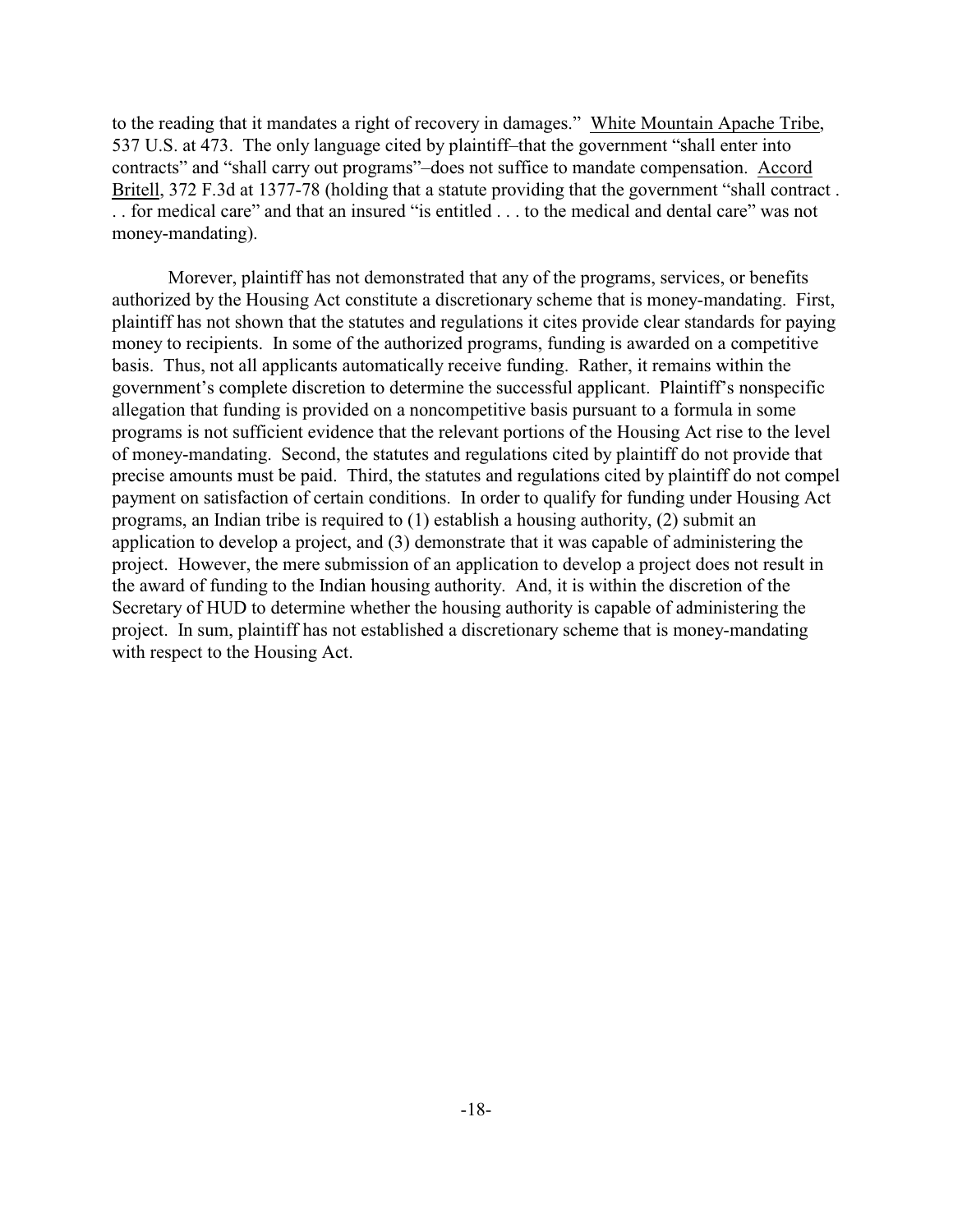to the reading that it mandates a right of recovery in damages." White Mountain Apache Tribe, 537 U.S. at 473. The only language cited by plaintiff–that the government "shall enter into contracts" and "shall carry out programs"–does not suffice to mandate compensation. Accord Britell, 372 F.3d at 1377-78 (holding that a statute providing that the government "shall contract . . . for medical care" and that an insured "is entitled . . . to the medical and dental care" was not money-mandating).

Morever, plaintiff has not demonstrated that any of the programs, services, or benefits authorized by the Housing Act constitute a discretionary scheme that is money-mandating. First, plaintiff has not shown that the statutes and regulations it cites provide clear standards for paying money to recipients. In some of the authorized programs, funding is awarded on a competitive basis. Thus, not all applicants automatically receive funding. Rather, it remains within the government's complete discretion to determine the successful applicant. Plaintiff's nonspecific allegation that funding is provided on a noncompetitive basis pursuant to a formula in some programs is not sufficient evidence that the relevant portions of the Housing Act rise to the level of money-mandating. Second, the statutes and regulations cited by plaintiff do not provide that precise amounts must be paid. Third, the statutes and regulations cited by plaintiff do not compel payment on satisfaction of certain conditions. In order to qualify for funding under Housing Act programs, an Indian tribe is required to (1) establish a housing authority, (2) submit an application to develop a project, and (3) demonstrate that it was capable of administering the project. However, the mere submission of an application to develop a project does not result in the award of funding to the Indian housing authority. And, it is within the discretion of the Secretary of HUD to determine whether the housing authority is capable of administering the project. In sum, plaintiff has not established a discretionary scheme that is money-mandating with respect to the Housing Act.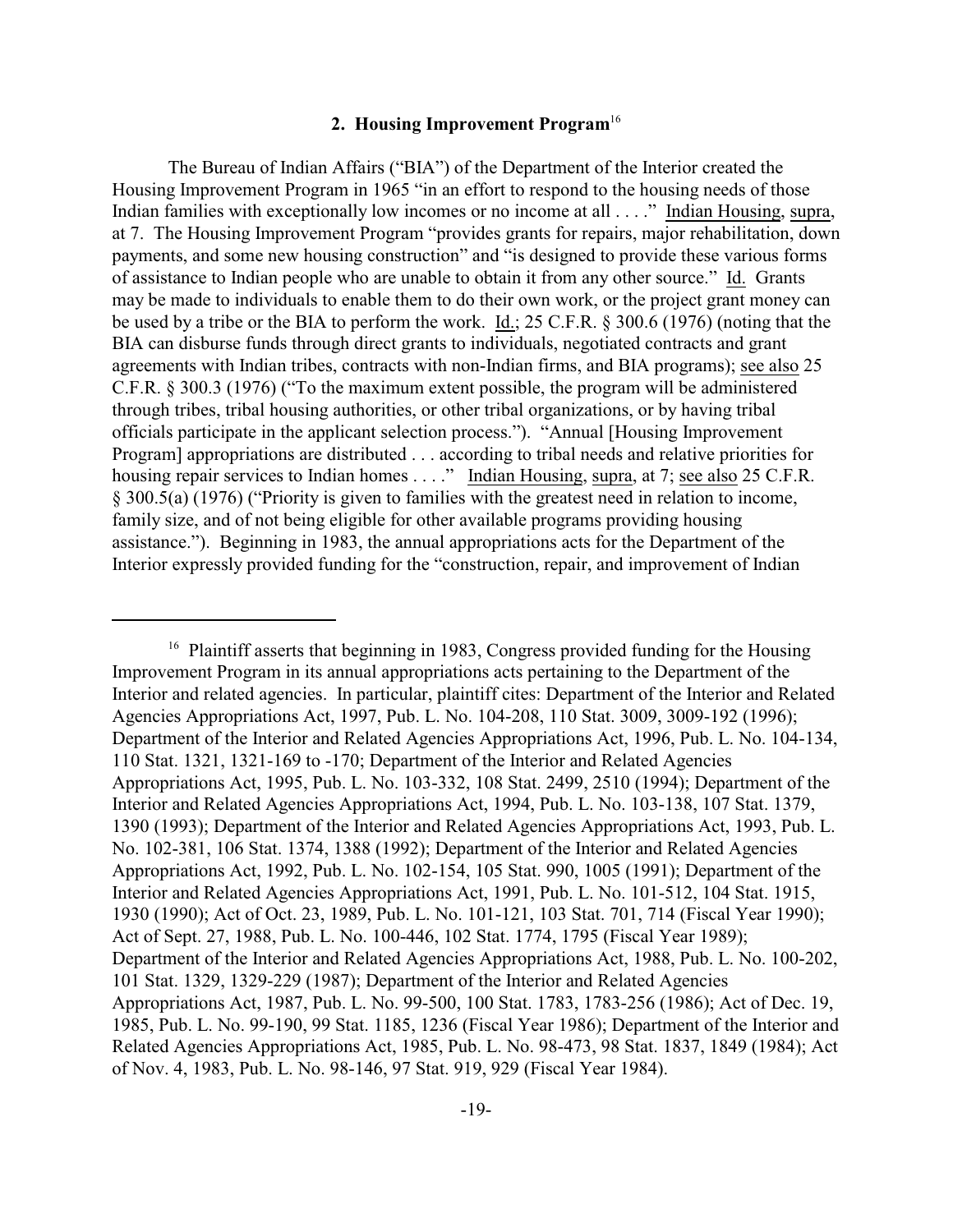## **2. Housing Improvement Program**<sup>16</sup>

The Bureau of Indian Affairs ("BIA") of the Department of the Interior created the Housing Improvement Program in 1965 "in an effort to respond to the housing needs of those Indian families with exceptionally low incomes or no income at all . . . ." Indian Housing, supra, at 7. The Housing Improvement Program "provides grants for repairs, major rehabilitation, down payments, and some new housing construction" and "is designed to provide these various forms of assistance to Indian people who are unable to obtain it from any other source." Id. Grants may be made to individuals to enable them to do their own work, or the project grant money can be used by a tribe or the BIA to perform the work. Id.; 25 C.F.R. § 300.6 (1976) (noting that the BIA can disburse funds through direct grants to individuals, negotiated contracts and grant agreements with Indian tribes, contracts with non-Indian firms, and BIA programs); see also 25 C.F.R. § 300.3 (1976) ("To the maximum extent possible, the program will be administered through tribes, tribal housing authorities, or other tribal organizations, or by having tribal officials participate in the applicant selection process."). "Annual [Housing Improvement Program] appropriations are distributed . . . according to tribal needs and relative priorities for housing repair services to Indian homes . . . ." Indian Housing, supra, at 7; see also 25 C.F.R. § 300.5(a) (1976) ("Priority is given to families with the greatest need in relation to income, family size, and of not being eligible for other available programs providing housing assistance."). Beginning in 1983, the annual appropriations acts for the Department of the Interior expressly provided funding for the "construction, repair, and improvement of Indian

<sup>&</sup>lt;sup>16</sup> Plaintiff asserts that beginning in 1983, Congress provided funding for the Housing Improvement Program in its annual appropriations acts pertaining to the Department of the Interior and related agencies. In particular, plaintiff cites: Department of the Interior and Related Agencies Appropriations Act, 1997, Pub. L. No. 104-208, 110 Stat. 3009, 3009-192 (1996); Department of the Interior and Related Agencies Appropriations Act, 1996, Pub. L. No. 104-134, 110 Stat. 1321, 1321-169 to -170; Department of the Interior and Related Agencies Appropriations Act, 1995, Pub. L. No. 103-332, 108 Stat. 2499, 2510 (1994); Department of the Interior and Related Agencies Appropriations Act, 1994, Pub. L. No. 103-138, 107 Stat. 1379, 1390 (1993); Department of the Interior and Related Agencies Appropriations Act, 1993, Pub. L. No. 102-381, 106 Stat. 1374, 1388 (1992); Department of the Interior and Related Agencies Appropriations Act, 1992, Pub. L. No. 102-154, 105 Stat. 990, 1005 (1991); Department of the Interior and Related Agencies Appropriations Act, 1991, Pub. L. No. 101-512, 104 Stat. 1915, 1930 (1990); Act of Oct. 23, 1989, Pub. L. No. 101-121, 103 Stat. 701, 714 (Fiscal Year 1990); Act of Sept. 27, 1988, Pub. L. No. 100-446, 102 Stat. 1774, 1795 (Fiscal Year 1989); Department of the Interior and Related Agencies Appropriations Act, 1988, Pub. L. No. 100-202, 101 Stat. 1329, 1329-229 (1987); Department of the Interior and Related Agencies Appropriations Act, 1987, Pub. L. No. 99-500, 100 Stat. 1783, 1783-256 (1986); Act of Dec. 19, 1985, Pub. L. No. 99-190, 99 Stat. 1185, 1236 (Fiscal Year 1986); Department of the Interior and Related Agencies Appropriations Act, 1985, Pub. L. No. 98-473, 98 Stat. 1837, 1849 (1984); Act of Nov. 4, 1983, Pub. L. No. 98-146, 97 Stat. 919, 929 (Fiscal Year 1984).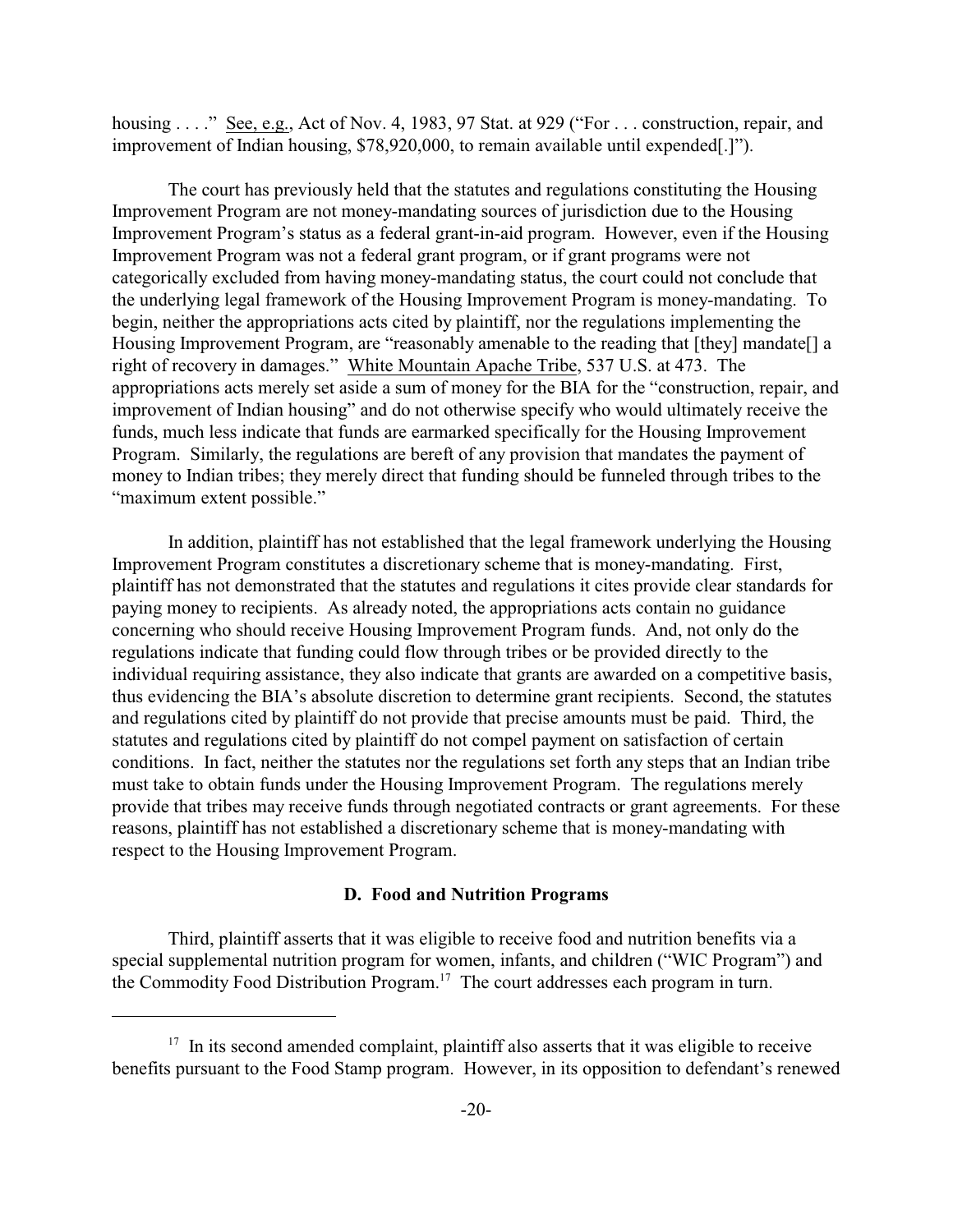housing . . . ." See, e.g., Act of Nov. 4, 1983, 97 Stat. at 929 ("For . . . construction, repair, and improvement of Indian housing, \$78,920,000, to remain available until expended[.]").

The court has previously held that the statutes and regulations constituting the Housing Improvement Program are not money-mandating sources of jurisdiction due to the Housing Improvement Program's status as a federal grant-in-aid program. However, even if the Housing Improvement Program was not a federal grant program, or if grant programs were not categorically excluded from having money-mandating status, the court could not conclude that the underlying legal framework of the Housing Improvement Program is money-mandating. To begin, neither the appropriations acts cited by plaintiff, nor the regulations implementing the Housing Improvement Program, are "reasonably amenable to the reading that [they] mandate[] a right of recovery in damages." White Mountain Apache Tribe, 537 U.S. at 473. The appropriations acts merely set aside a sum of money for the BIA for the "construction, repair, and improvement of Indian housing" and do not otherwise specify who would ultimately receive the funds, much less indicate that funds are earmarked specifically for the Housing Improvement Program. Similarly, the regulations are bereft of any provision that mandates the payment of money to Indian tribes; they merely direct that funding should be funneled through tribes to the "maximum extent possible."

In addition, plaintiff has not established that the legal framework underlying the Housing Improvement Program constitutes a discretionary scheme that is money-mandating. First, plaintiff has not demonstrated that the statutes and regulations it cites provide clear standards for paying money to recipients. As already noted, the appropriations acts contain no guidance concerning who should receive Housing Improvement Program funds. And, not only do the regulations indicate that funding could flow through tribes or be provided directly to the individual requiring assistance, they also indicate that grants are awarded on a competitive basis, thus evidencing the BIA's absolute discretion to determine grant recipients. Second, the statutes and regulations cited by plaintiff do not provide that precise amounts must be paid. Third, the statutes and regulations cited by plaintiff do not compel payment on satisfaction of certain conditions. In fact, neither the statutes nor the regulations set forth any steps that an Indian tribe must take to obtain funds under the Housing Improvement Program. The regulations merely provide that tribes may receive funds through negotiated contracts or grant agreements. For these reasons, plaintiff has not established a discretionary scheme that is money-mandating with respect to the Housing Improvement Program.

## **D. Food and Nutrition Programs**

Third, plaintiff asserts that it was eligible to receive food and nutrition benefits via a special supplemental nutrition program for women, infants, and children ("WIC Program") and the Commodity Food Distribution Program.<sup>17</sup> The court addresses each program in turn.

 $17$  In its second amended complaint, plaintiff also asserts that it was eligible to receive benefits pursuant to the Food Stamp program. However, in its opposition to defendant's renewed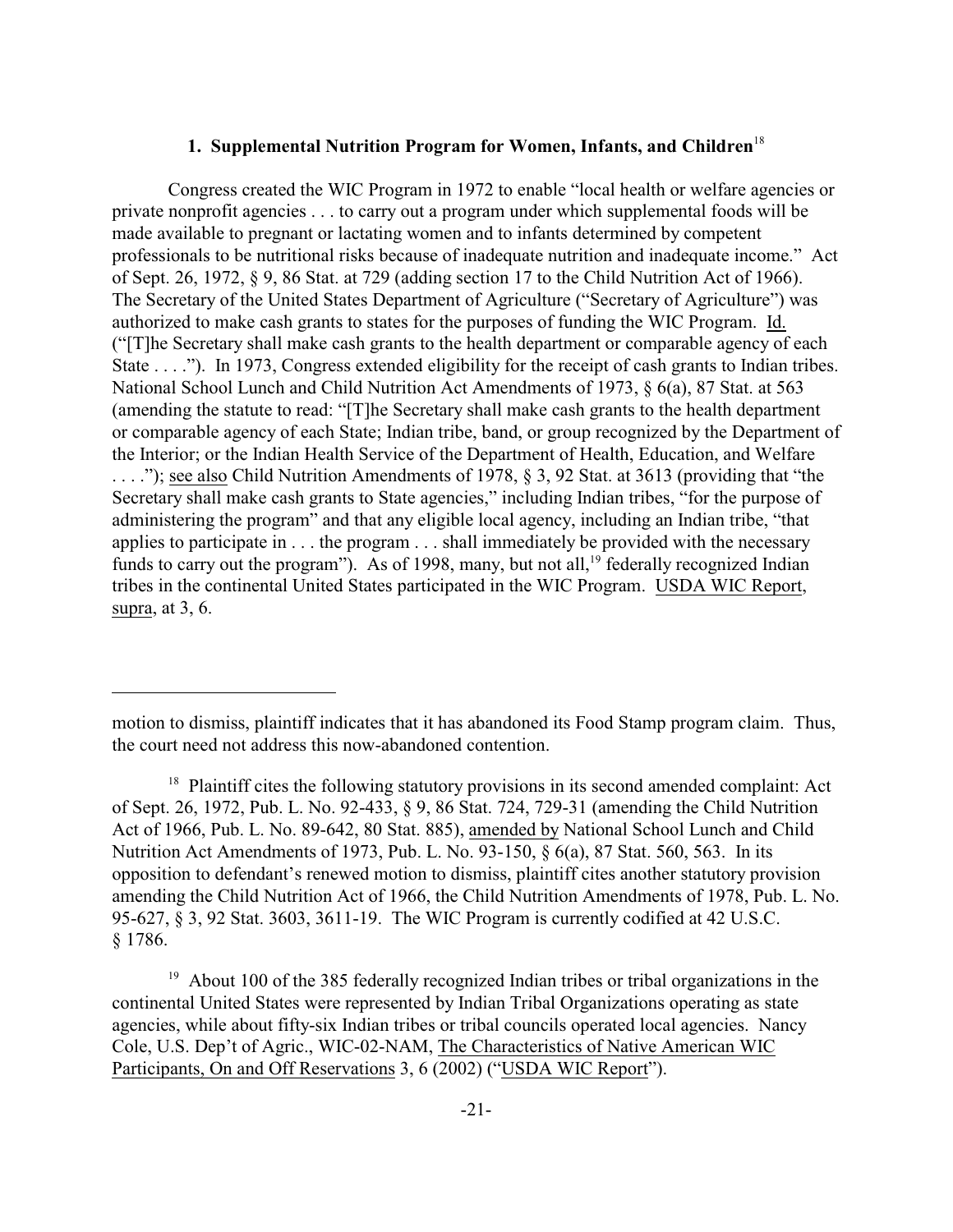## **1. Supplemental Nutrition Program for Women, Infants, and Children**<sup>18</sup>

Congress created the WIC Program in 1972 to enable "local health or welfare agencies or private nonprofit agencies . . . to carry out a program under which supplemental foods will be made available to pregnant or lactating women and to infants determined by competent professionals to be nutritional risks because of inadequate nutrition and inadequate income." Act of Sept. 26, 1972, § 9, 86 Stat. at 729 (adding section 17 to the Child Nutrition Act of 1966). The Secretary of the United States Department of Agriculture ("Secretary of Agriculture") was authorized to make cash grants to states for the purposes of funding the WIC Program. Id. ("[T]he Secretary shall make cash grants to the health department or comparable agency of each State . . . ."). In 1973, Congress extended eligibility for the receipt of cash grants to Indian tribes. National School Lunch and Child Nutrition Act Amendments of 1973, § 6(a), 87 Stat. at 563 (amending the statute to read: "[T]he Secretary shall make cash grants to the health department or comparable agency of each State; Indian tribe, band, or group recognized by the Department of the Interior; or the Indian Health Service of the Department of Health, Education, and Welfare . . . ."); see also Child Nutrition Amendments of 1978, § 3, 92 Stat. at 3613 (providing that "the Secretary shall make cash grants to State agencies," including Indian tribes, "for the purpose of administering the program" and that any eligible local agency, including an Indian tribe, "that applies to participate in . . . the program . . . shall immediately be provided with the necessary funds to carry out the program"). As of 1998, many, but not all,  $19$  federally recognized Indian tribes in the continental United States participated in the WIC Program. USDA WIC Report, supra, at 3, 6.

motion to dismiss, plaintiff indicates that it has abandoned its Food Stamp program claim. Thus, the court need not address this now-abandoned contention.

 $18$  Plaintiff cites the following statutory provisions in its second amended complaint: Act of Sept. 26, 1972, Pub. L. No. 92-433, § 9, 86 Stat. 724, 729-31 (amending the Child Nutrition Act of 1966, Pub. L. No. 89-642, 80 Stat. 885), amended by National School Lunch and Child Nutrition Act Amendments of 1973, Pub. L. No. 93-150, § 6(a), 87 Stat. 560, 563. In its opposition to defendant's renewed motion to dismiss, plaintiff cites another statutory provision amending the Child Nutrition Act of 1966, the Child Nutrition Amendments of 1978, Pub. L. No. 95-627, § 3, 92 Stat. 3603, 3611-19. The WIC Program is currently codified at 42 U.S.C. § 1786.

<sup>&</sup>lt;sup>19</sup> About 100 of the 385 federally recognized Indian tribes or tribal organizations in the continental United States were represented by Indian Tribal Organizations operating as state agencies, while about fifty-six Indian tribes or tribal councils operated local agencies. Nancy Cole, U.S. Dep't of Agric., WIC-02-NAM, The Characteristics of Native American WIC Participants, On and Off Reservations 3, 6 (2002) ("USDA WIC Report").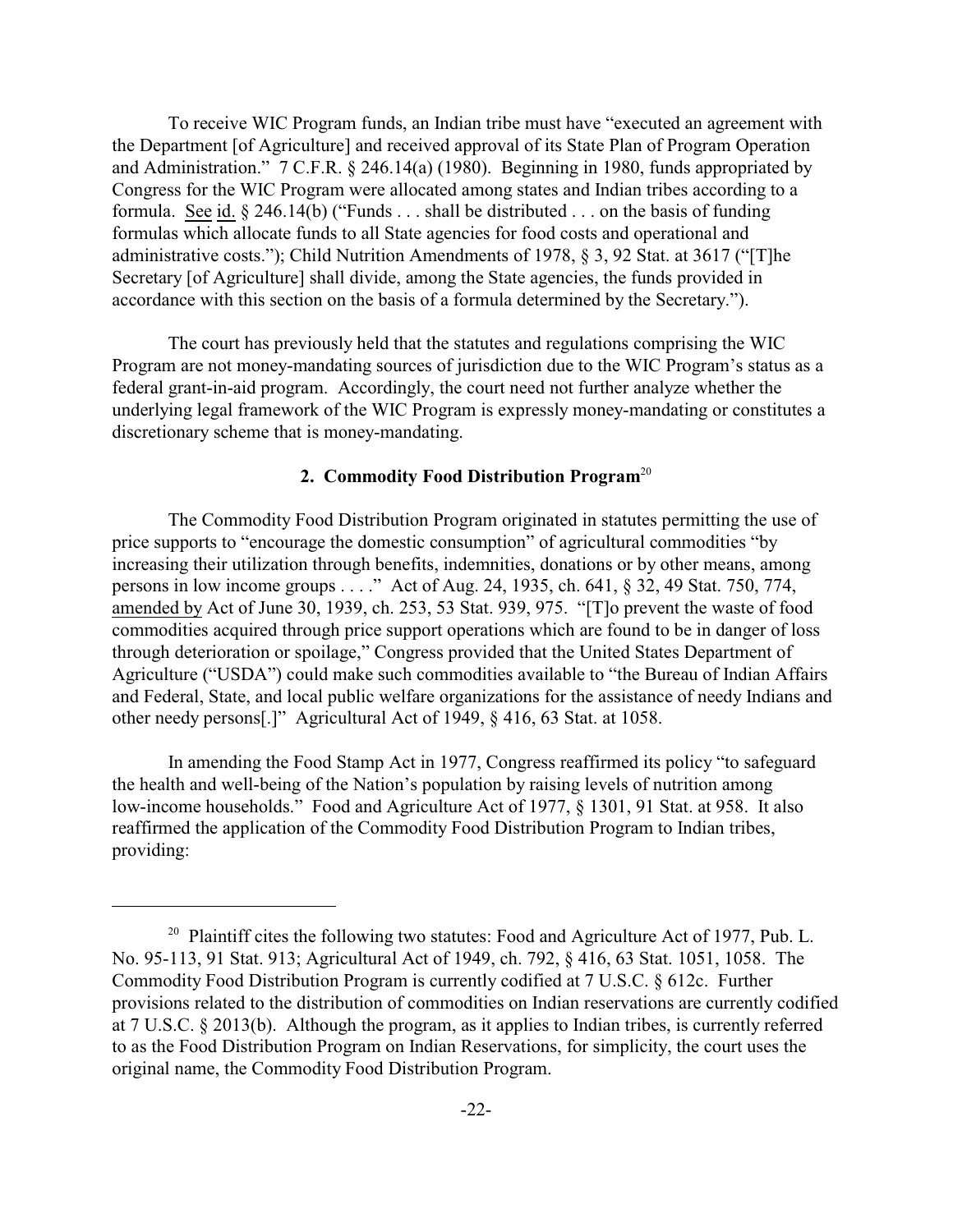To receive WIC Program funds, an Indian tribe must have "executed an agreement with the Department [of Agriculture] and received approval of its State Plan of Program Operation and Administration." 7 C.F.R. § 246.14(a) (1980). Beginning in 1980, funds appropriated by Congress for the WIC Program were allocated among states and Indian tribes according to a formula. See id. § 246.14(b) ("Funds . . . shall be distributed . . . on the basis of funding formulas which allocate funds to all State agencies for food costs and operational and administrative costs."); Child Nutrition Amendments of 1978, § 3, 92 Stat. at 3617 ("[T]he Secretary [of Agriculture] shall divide, among the State agencies, the funds provided in accordance with this section on the basis of a formula determined by the Secretary.").

The court has previously held that the statutes and regulations comprising the WIC Program are not money-mandating sources of jurisdiction due to the WIC Program's status as a federal grant-in-aid program. Accordingly, the court need not further analyze whether the underlying legal framework of the WIC Program is expressly money-mandating or constitutes a discretionary scheme that is money-mandating.

## **2. Commodity Food Distribution Program**<sup>20</sup>

The Commodity Food Distribution Program originated in statutes permitting the use of price supports to "encourage the domestic consumption" of agricultural commodities "by increasing their utilization through benefits, indemnities, donations or by other means, among persons in low income groups . . . ." Act of Aug. 24, 1935, ch. 641, § 32, 49 Stat. 750, 774, amended by Act of June 30, 1939, ch. 253, 53 Stat. 939, 975. "[T]o prevent the waste of food commodities acquired through price support operations which are found to be in danger of loss through deterioration or spoilage," Congress provided that the United States Department of Agriculture ("USDA") could make such commodities available to "the Bureau of Indian Affairs and Federal, State, and local public welfare organizations for the assistance of needy Indians and other needy persons[.]" Agricultural Act of 1949, § 416, 63 Stat. at 1058.

In amending the Food Stamp Act in 1977, Congress reaffirmed its policy "to safeguard the health and well-being of the Nation's population by raising levels of nutrition among low-income households." Food and Agriculture Act of 1977, § 1301, 91 Stat. at 958. It also reaffirmed the application of the Commodity Food Distribution Program to Indian tribes, providing:

 $20$  Plaintiff cites the following two statutes: Food and Agriculture Act of 1977, Pub. L. No. 95-113, 91 Stat. 913; Agricultural Act of 1949, ch. 792, § 416, 63 Stat. 1051, 1058. The Commodity Food Distribution Program is currently codified at 7 U.S.C. § 612c. Further provisions related to the distribution of commodities on Indian reservations are currently codified at 7 U.S.C. § 2013(b). Although the program, as it applies to Indian tribes, is currently referred to as the Food Distribution Program on Indian Reservations, for simplicity, the court uses the original name, the Commodity Food Distribution Program.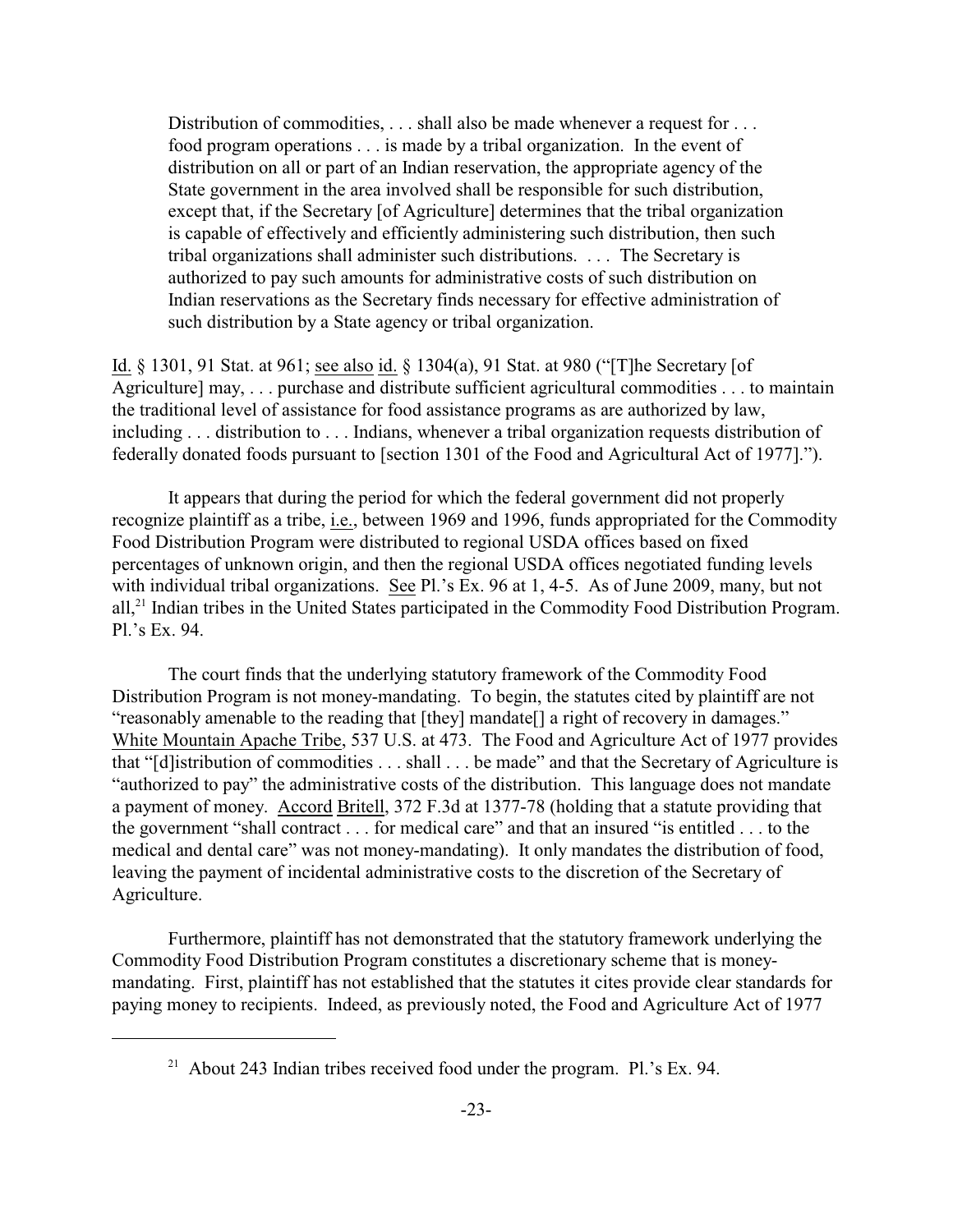Distribution of commodities, . . . shall also be made whenever a request for . . . food program operations . . . is made by a tribal organization. In the event of distribution on all or part of an Indian reservation, the appropriate agency of the State government in the area involved shall be responsible for such distribution, except that, if the Secretary [of Agriculture] determines that the tribal organization is capable of effectively and efficiently administering such distribution, then such tribal organizations shall administer such distributions. . . . The Secretary is authorized to pay such amounts for administrative costs of such distribution on Indian reservations as the Secretary finds necessary for effective administration of such distribution by a State agency or tribal organization.

Id. § 1301, 91 Stat. at 961; see also id. § 1304(a), 91 Stat. at 980 ("[T]he Secretary [of Agriculture] may, . . . purchase and distribute sufficient agricultural commodities . . . to maintain the traditional level of assistance for food assistance programs as are authorized by law, including . . . distribution to . . . Indians, whenever a tribal organization requests distribution of federally donated foods pursuant to [section 1301 of the Food and Agricultural Act of 1977].").

It appears that during the period for which the federal government did not properly recognize plaintiff as a tribe, i.e., between 1969 and 1996, funds appropriated for the Commodity Food Distribution Program were distributed to regional USDA offices based on fixed percentages of unknown origin, and then the regional USDA offices negotiated funding levels with individual tribal organizations. See Pl.'s Ex. 96 at 1, 4-5. As of June 2009, many, but not  $all<sub>1</sub><sup>21</sup>$  Indian tribes in the United States participated in the Commodity Food Distribution Program. Pl.'s Ex. 94.

The court finds that the underlying statutory framework of the Commodity Food Distribution Program is not money-mandating. To begin, the statutes cited by plaintiff are not "reasonably amenable to the reading that [they] mandate[] a right of recovery in damages." White Mountain Apache Tribe, 537 U.S. at 473. The Food and Agriculture Act of 1977 provides that "[d]istribution of commodities . . . shall . . . be made" and that the Secretary of Agriculture is "authorized to pay" the administrative costs of the distribution. This language does not mandate a payment of money. Accord Britell, 372 F.3d at 1377-78 (holding that a statute providing that the government "shall contract . . . for medical care" and that an insured "is entitled . . . to the medical and dental care" was not money-mandating). It only mandates the distribution of food, leaving the payment of incidental administrative costs to the discretion of the Secretary of Agriculture.

Furthermore, plaintiff has not demonstrated that the statutory framework underlying the Commodity Food Distribution Program constitutes a discretionary scheme that is moneymandating. First, plaintiff has not established that the statutes it cites provide clear standards for paying money to recipients. Indeed, as previously noted, the Food and Agriculture Act of 1977

<sup>&</sup>lt;sup>21</sup> About 243 Indian tribes received food under the program. Pl.'s Ex. 94.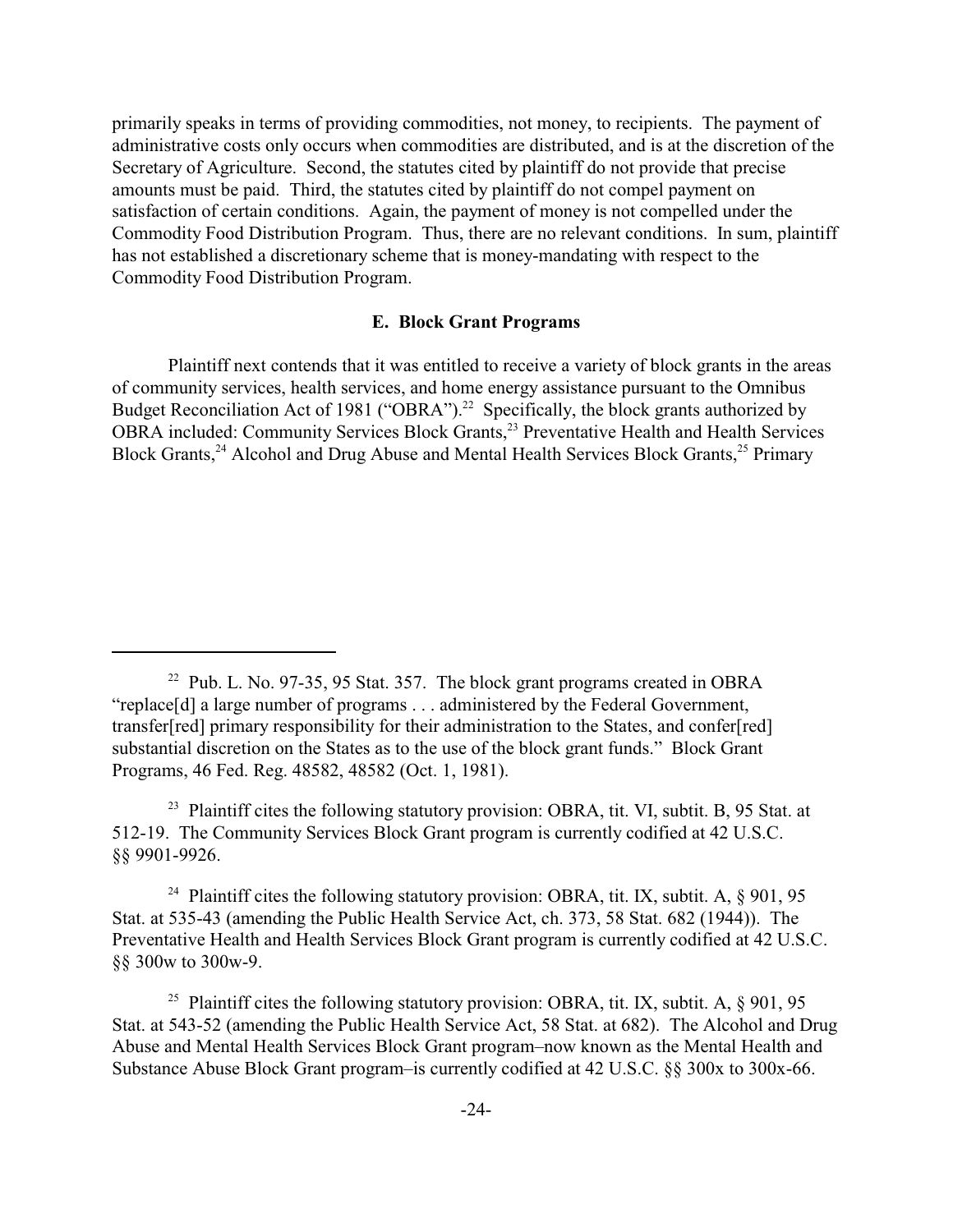primarily speaks in terms of providing commodities, not money, to recipients. The payment of administrative costs only occurs when commodities are distributed, and is at the discretion of the Secretary of Agriculture. Second, the statutes cited by plaintiff do not provide that precise amounts must be paid. Third, the statutes cited by plaintiff do not compel payment on satisfaction of certain conditions. Again, the payment of money is not compelled under the Commodity Food Distribution Program. Thus, there are no relevant conditions. In sum, plaintiff has not established a discretionary scheme that is money-mandating with respect to the Commodity Food Distribution Program.

### **E. Block Grant Programs**

Plaintiff next contends that it was entitled to receive a variety of block grants in the areas of community services, health services, and home energy assistance pursuant to the Omnibus Budget Reconciliation Act of 1981 ("OBRA").<sup>22</sup> Specifically, the block grants authorized by OBRA included: Community Services Block Grants,<sup>23</sup> Preventative Health and Health Services Block Grants,<sup>24</sup> Alcohol and Drug Abuse and Mental Health Services Block Grants,<sup>25</sup> Primary

<sup>24</sup> Plaintiff cites the following statutory provision: OBRA, tit. IX, subtit. A,  $\S$  901, 95 Stat. at 535-43 (amending the Public Health Service Act, ch. 373, 58 Stat. 682 (1944)). The Preventative Health and Health Services Block Grant program is currently codified at 42 U.S.C. §§ 300w to 300w-9.

<sup>25</sup> Plaintiff cites the following statutory provision: OBRA, tit. IX, subtit. A,  $\S$  901, 95 Stat. at 543-52 (amending the Public Health Service Act, 58 Stat. at 682). The Alcohol and Drug Abuse and Mental Health Services Block Grant program–now known as the Mental Health and Substance Abuse Block Grant program–is currently codified at 42 U.S.C. §§ 300x to 300x-66.

<sup>&</sup>lt;sup>22</sup> Pub. L. No. 97-35, 95 Stat. 357. The block grant programs created in OBRA "replace[d] a large number of programs . . . administered by the Federal Government, transfer[red] primary responsibility for their administration to the States, and confer[red] substantial discretion on the States as to the use of the block grant funds." Block Grant Programs, 46 Fed. Reg. 48582, 48582 (Oct. 1, 1981).

<sup>&</sup>lt;sup>23</sup> Plaintiff cites the following statutory provision: OBRA, tit. VI, subtit. B, 95 Stat. at 512-19. The Community Services Block Grant program is currently codified at 42 U.S.C. §§ 9901-9926.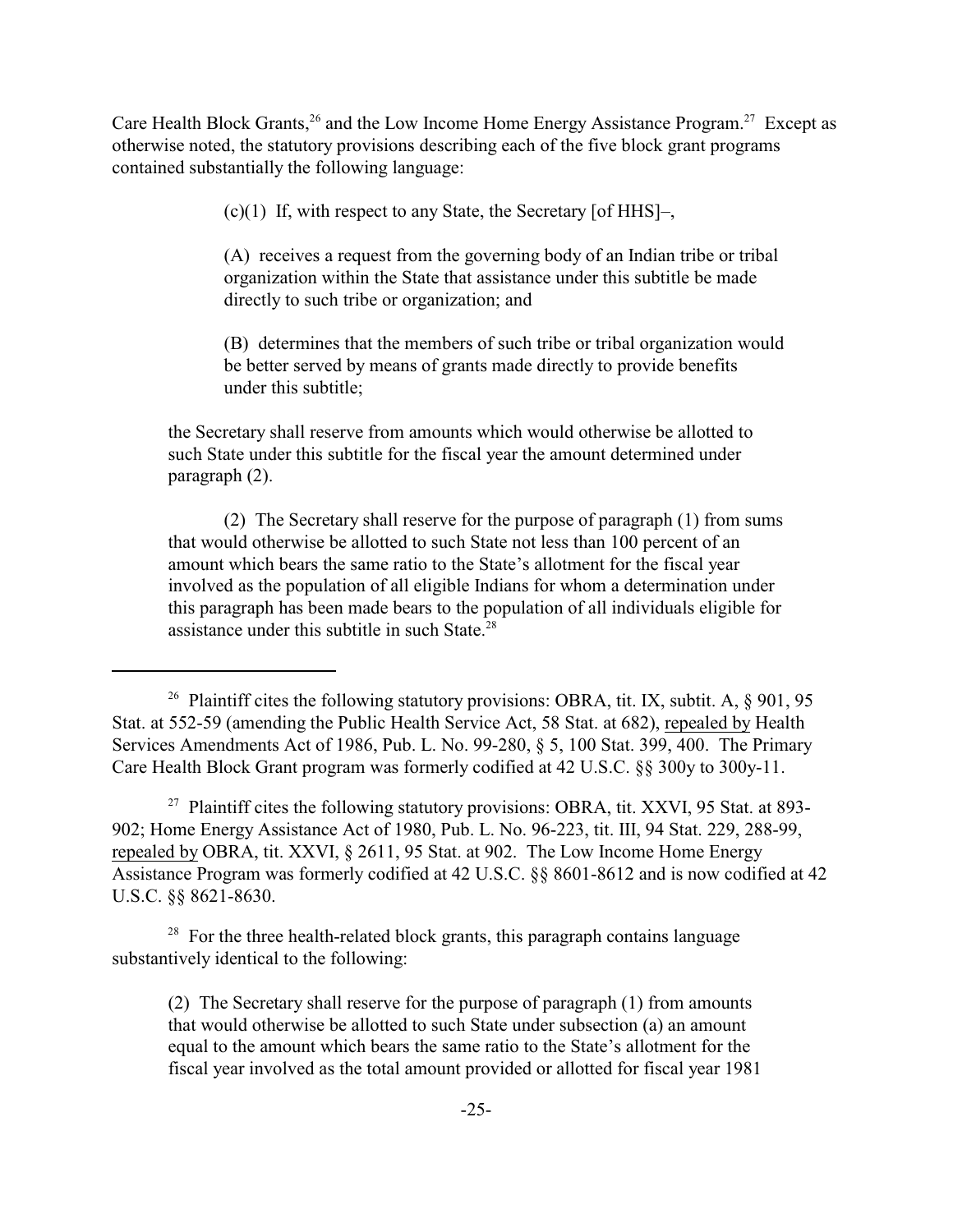Care Health Block Grants,<sup>26</sup> and the Low Income Home Energy Assistance Program.<sup>27</sup> Except as otherwise noted, the statutory provisions describing each of the five block grant programs contained substantially the following language:

(c)(1) If, with respect to any State, the Secretary [of HHS]–,

(A) receives a request from the governing body of an Indian tribe or tribal organization within the State that assistance under this subtitle be made directly to such tribe or organization; and

(B) determines that the members of such tribe or tribal organization would be better served by means of grants made directly to provide benefits under this subtitle;

the Secretary shall reserve from amounts which would otherwise be allotted to such State under this subtitle for the fiscal year the amount determined under paragraph (2).

(2) The Secretary shall reserve for the purpose of paragraph (1) from sums that would otherwise be allotted to such State not less than 100 percent of an amount which bears the same ratio to the State's allotment for the fiscal year involved as the population of all eligible Indians for whom a determination under this paragraph has been made bears to the population of all individuals eligible for assistance under this subtitle in such State.<sup>28</sup>

<sup>27</sup> Plaintiff cites the following statutory provisions: OBRA, tit. XXVI, 95 Stat. at 893-902; Home Energy Assistance Act of 1980, Pub. L. No. 96-223, tit. III, 94 Stat. 229, 288-99, repealed by OBRA, tit. XXVI, § 2611, 95 Stat. at 902. The Low Income Home Energy Assistance Program was formerly codified at 42 U.S.C. §§ 8601-8612 and is now codified at 42 U.S.C. §§ 8621-8630.

 $28$  For the three health-related block grants, this paragraph contains language substantively identical to the following:

(2) The Secretary shall reserve for the purpose of paragraph (1) from amounts that would otherwise be allotted to such State under subsection (a) an amount equal to the amount which bears the same ratio to the State's allotment for the fiscal year involved as the total amount provided or allotted for fiscal year 1981

<sup>&</sup>lt;sup>26</sup> Plaintiff cites the following statutory provisions: OBRA, tit. IX, subtit. A,  $\S$  901, 95 Stat. at 552-59 (amending the Public Health Service Act, 58 Stat. at 682), repealed by Health Services Amendments Act of 1986, Pub. L. No. 99-280, § 5, 100 Stat. 399, 400. The Primary Care Health Block Grant program was formerly codified at 42 U.S.C. §§ 300y to 300y-11.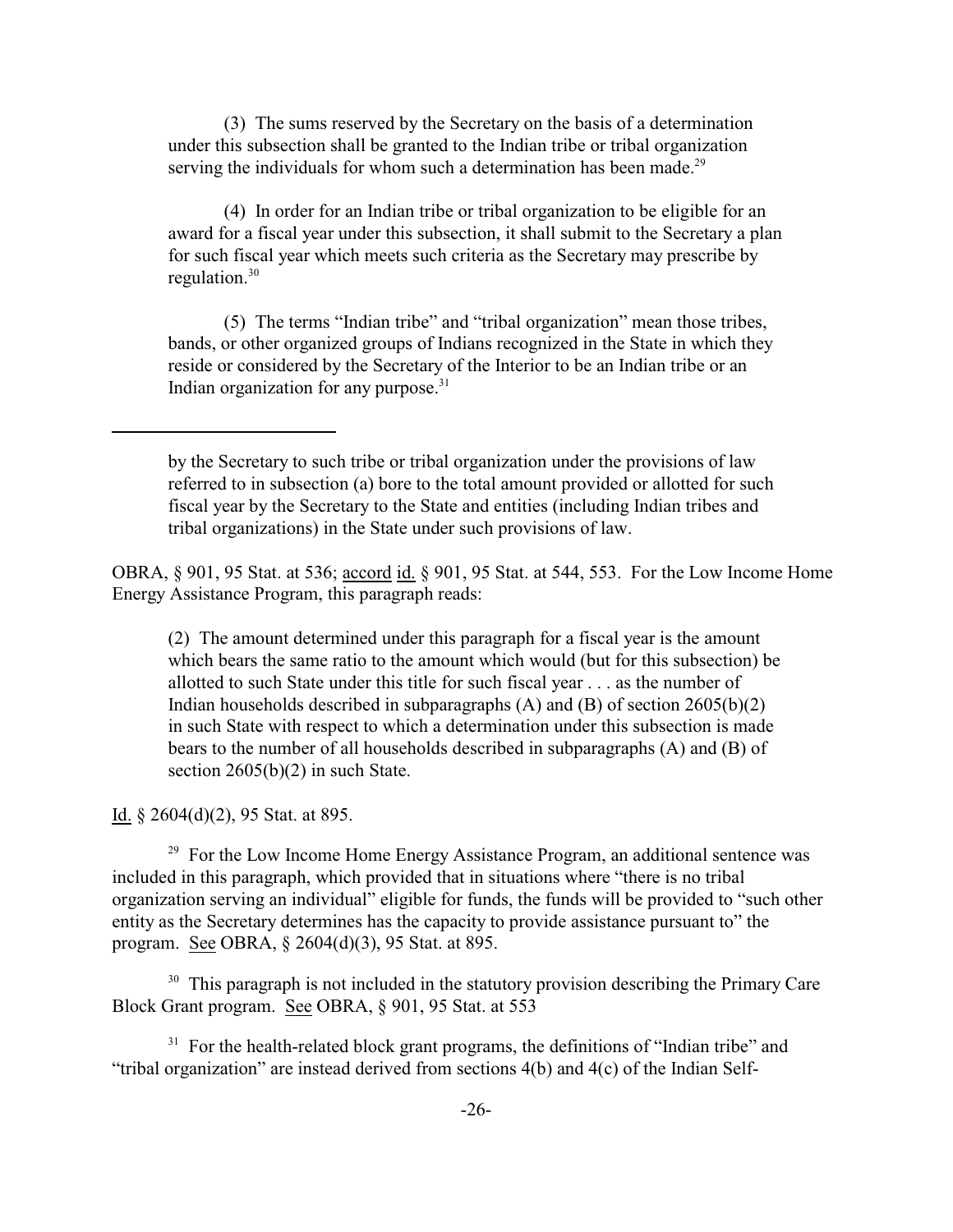(3) The sums reserved by the Secretary on the basis of a determination under this subsection shall be granted to the Indian tribe or tribal organization serving the individuals for whom such a determination has been made.<sup>29</sup>

(4) In order for an Indian tribe or tribal organization to be eligible for an award for a fiscal year under this subsection, it shall submit to the Secretary a plan for such fiscal year which meets such criteria as the Secretary may prescribe by regulation. $30$ 

(5) The terms "Indian tribe" and "tribal organization" mean those tribes, bands, or other organized groups of Indians recognized in the State in which they reside or considered by the Secretary of the Interior to be an Indian tribe or an Indian organization for any purpose. $31$ 

OBRA, § 901, 95 Stat. at 536; accord id. § 901, 95 Stat. at 544, 553. For the Low Income Home Energy Assistance Program, this paragraph reads:

(2) The amount determined under this paragraph for a fiscal year is the amount which bears the same ratio to the amount which would (but for this subsection) be allotted to such State under this title for such fiscal year . . . as the number of Indian households described in subparagraphs  $(A)$  and  $(B)$  of section 2605(b)(2) in such State with respect to which a determination under this subsection is made bears to the number of all households described in subparagraphs (A) and (B) of section  $2605(b)(2)$  in such State.

Id. § 2604(d)(2), 95 Stat. at 895.

 $29$  For the Low Income Home Energy Assistance Program, an additional sentence was included in this paragraph, which provided that in situations where "there is no tribal organization serving an individual" eligible for funds, the funds will be provided to "such other entity as the Secretary determines has the capacity to provide assistance pursuant to" the program. See OBRA, § 2604(d)(3), 95 Stat. at 895.

 $30$  This paragraph is not included in the statutory provision describing the Primary Care Block Grant program. See OBRA, § 901, 95 Stat. at 553

 $31$  For the health-related block grant programs, the definitions of "Indian tribe" and "tribal organization" are instead derived from sections 4(b) and 4(c) of the Indian Self-

by the Secretary to such tribe or tribal organization under the provisions of law referred to in subsection (a) bore to the total amount provided or allotted for such fiscal year by the Secretary to the State and entities (including Indian tribes and tribal organizations) in the State under such provisions of law.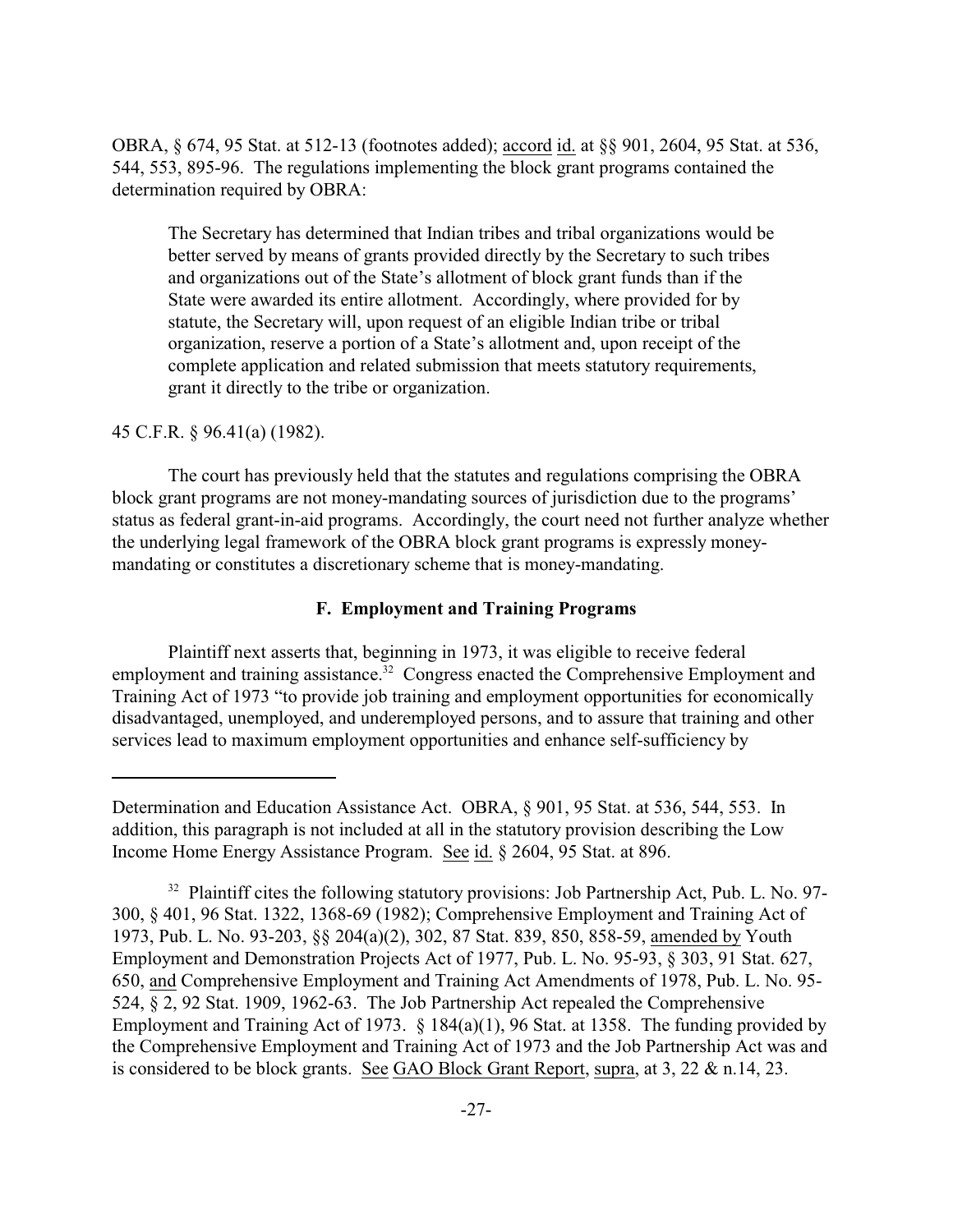OBRA, § 674, 95 Stat. at 512-13 (footnotes added); accord id. at §§ 901, 2604, 95 Stat. at 536, 544, 553, 895-96. The regulations implementing the block grant programs contained the determination required by OBRA:

The Secretary has determined that Indian tribes and tribal organizations would be better served by means of grants provided directly by the Secretary to such tribes and organizations out of the State's allotment of block grant funds than if the State were awarded its entire allotment. Accordingly, where provided for by statute, the Secretary will, upon request of an eligible Indian tribe or tribal organization, reserve a portion of a State's allotment and, upon receipt of the complete application and related submission that meets statutory requirements, grant it directly to the tribe or organization.

## 45 C.F.R. § 96.41(a) (1982).

The court has previously held that the statutes and regulations comprising the OBRA block grant programs are not money-mandating sources of jurisdiction due to the programs' status as federal grant-in-aid programs. Accordingly, the court need not further analyze whether the underlying legal framework of the OBRA block grant programs is expressly moneymandating or constitutes a discretionary scheme that is money-mandating.

## **F. Employment and Training Programs**

Plaintiff next asserts that, beginning in 1973, it was eligible to receive federal employment and training assistance.<sup>32</sup> Congress enacted the Comprehensive Employment and Training Act of 1973 "to provide job training and employment opportunities for economically disadvantaged, unemployed, and underemployed persons, and to assure that training and other services lead to maximum employment opportunities and enhance self-sufficiency by

Determination and Education Assistance Act. OBRA, § 901, 95 Stat. at 536, 544, 553. In addition, this paragraph is not included at all in the statutory provision describing the Low Income Home Energy Assistance Program. See id. § 2604, 95 Stat. at 896.

 $32$  Plaintiff cites the following statutory provisions: Job Partnership Act, Pub. L. No. 97-300, § 401, 96 Stat. 1322, 1368-69 (1982); Comprehensive Employment and Training Act of 1973, Pub. L. No. 93-203, §§ 204(a)(2), 302, 87 Stat. 839, 850, 858-59, amended by Youth Employment and Demonstration Projects Act of 1977, Pub. L. No. 95-93, § 303, 91 Stat. 627, 650, and Comprehensive Employment and Training Act Amendments of 1978, Pub. L. No. 95- 524, § 2, 92 Stat. 1909, 1962-63. The Job Partnership Act repealed the Comprehensive Employment and Training Act of 1973. § 184(a)(1), 96 Stat. at 1358. The funding provided by the Comprehensive Employment and Training Act of 1973 and the Job Partnership Act was and is considered to be block grants. See GAO Block Grant Report, supra, at 3, 22 & n.14, 23.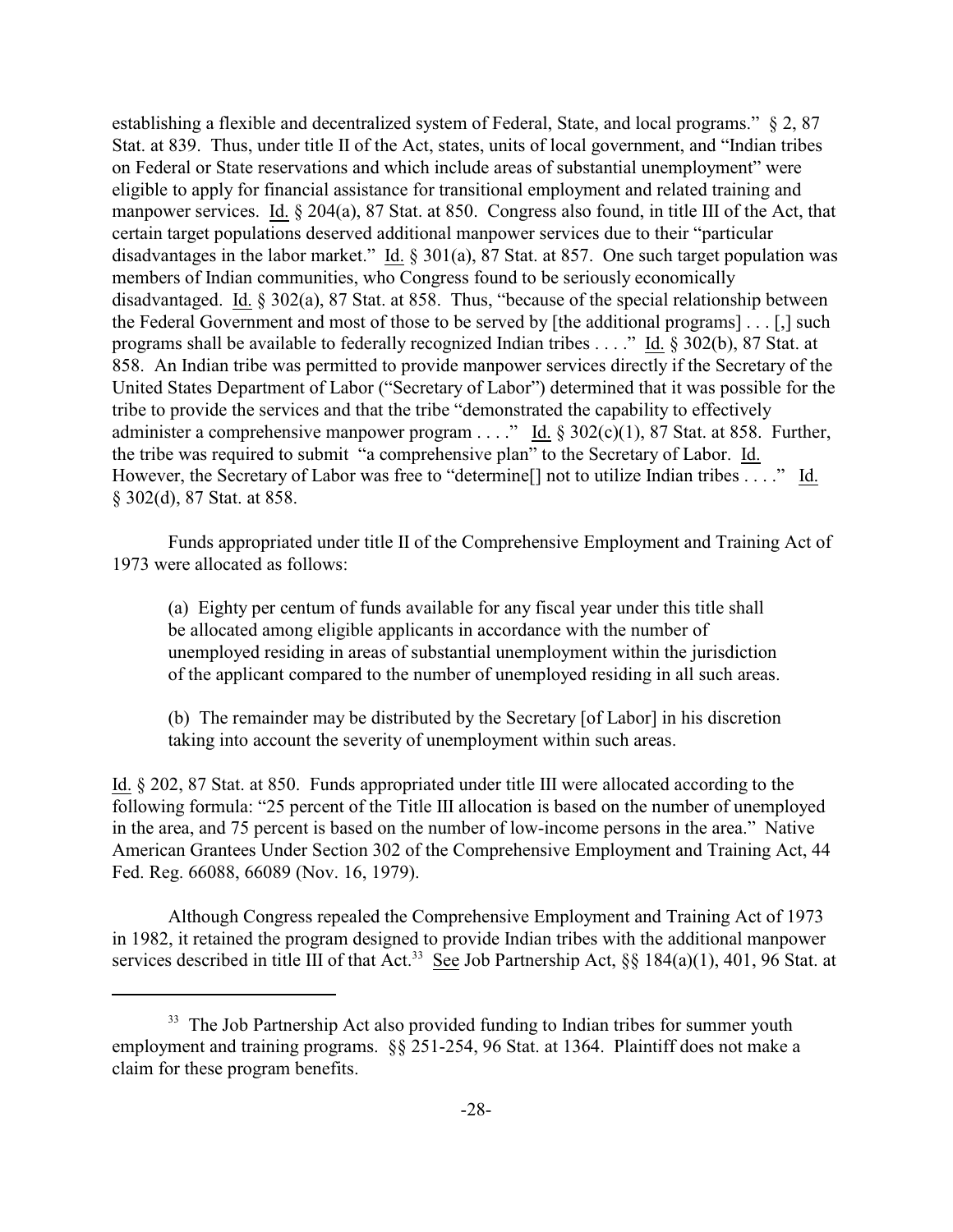establishing a flexible and decentralized system of Federal, State, and local programs." § 2, 87 Stat. at 839. Thus, under title II of the Act, states, units of local government, and "Indian tribes on Federal or State reservations and which include areas of substantial unemployment" were eligible to apply for financial assistance for transitional employment and related training and manpower services. Id. § 204(a), 87 Stat. at 850. Congress also found, in title III of the Act, that certain target populations deserved additional manpower services due to their "particular disadvantages in the labor market." Id.  $\S 301(a)$ , 87 Stat. at 857. One such target population was members of Indian communities, who Congress found to be seriously economically disadvantaged. Id. § 302(a), 87 Stat. at 858. Thus, "because of the special relationship between the Federal Government and most of those to be served by [the additional programs] . . . [,] such programs shall be available to federally recognized Indian tribes . . . ." Id. § 302(b), 87 Stat. at 858. An Indian tribe was permitted to provide manpower services directly if the Secretary of the United States Department of Labor ("Secretary of Labor") determined that it was possible for the tribe to provide the services and that the tribe "demonstrated the capability to effectively administer a comprehensive manpower program . . . ." Id.  $\S 302(c)(1)$ , 87 Stat. at 858. Further, the tribe was required to submit "a comprehensive plan" to the Secretary of Labor. Id. However, the Secretary of Labor was free to "determine<sup>[]</sup> not to utilize Indian tribes . . . ." Id. § 302(d), 87 Stat. at 858.

Funds appropriated under title II of the Comprehensive Employment and Training Act of 1973 were allocated as follows:

(a) Eighty per centum of funds available for any fiscal year under this title shall be allocated among eligible applicants in accordance with the number of unemployed residing in areas of substantial unemployment within the jurisdiction of the applicant compared to the number of unemployed residing in all such areas.

(b) The remainder may be distributed by the Secretary [of Labor] in his discretion taking into account the severity of unemployment within such areas.

Id. § 202, 87 Stat. at 850. Funds appropriated under title III were allocated according to the following formula: "25 percent of the Title III allocation is based on the number of unemployed in the area, and 75 percent is based on the number of low-income persons in the area." Native American Grantees Under Section 302 of the Comprehensive Employment and Training Act, 44 Fed. Reg. 66088, 66089 (Nov. 16, 1979).

Although Congress repealed the Comprehensive Employment and Training Act of 1973 in 1982, it retained the program designed to provide Indian tribes with the additional manpower services described in title III of that Act.<sup>33</sup> See Job Partnership Act, §§ 184(a)(1), 401, 96 Stat. at

<sup>&</sup>lt;sup>33</sup> The Job Partnership Act also provided funding to Indian tribes for summer youth employment and training programs. §§ 251-254, 96 Stat. at 1364. Plaintiff does not make a claim for these program benefits.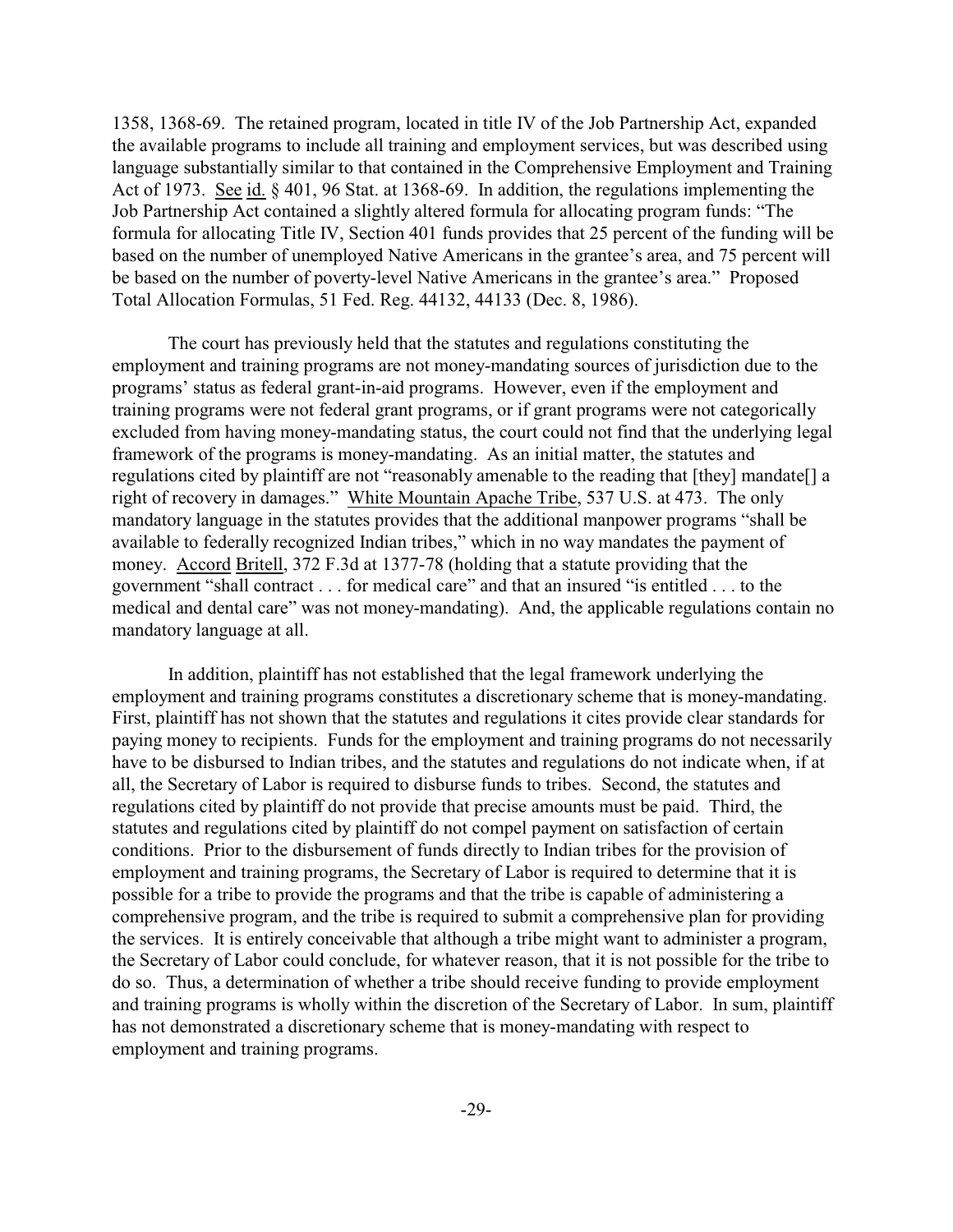1358, 1368-69. The retained program, located in title IV of the Job Partnership Act, expanded the available programs to include all training and employment services, but was described using language substantially similar to that contained in the Comprehensive Employment and Training Act of 1973. See id. § 401, 96 Stat. at 1368-69. In addition, the regulations implementing the Job Partnership Act contained a slightly altered formula for allocating program funds: "The formula for allocating Title IV, Section 401 funds provides that 25 percent of the funding will be based on the number of unemployed Native Americans in the grantee's area, and 75 percent will be based on the number of poverty-level Native Americans in the grantee's area." Proposed Total Allocation Formulas, 51 Fed. Reg. 44132, 44133 (Dec. 8, 1986).

The court has previously held that the statutes and regulations constituting the employment and training programs are not money-mandating sources of jurisdiction due to the programs' status as federal grant-in-aid programs. However, even if the employment and training programs were not federal grant programs, or if grant programs were not categorically excluded from having money-mandating status, the court could not find that the underlying legal framework of the programs is money-mandating. As an initial matter, the statutes and regulations cited by plaintiff are not "reasonably amenable to the reading that [they] mandate[] a right of recovery in damages." White Mountain Apache Tribe, 537 U.S. at 473. The only mandatory language in the statutes provides that the additional manpower programs "shall be available to federally recognized Indian tribes," which in no way mandates the payment of money. Accord Britell, 372 F.3d at 1377-78 (holding that a statute providing that the government "shall contract . . . for medical care" and that an insured "is entitled . . . to the medical and dental care" was not money-mandating). And, the applicable regulations contain no mandatory language at all.

In addition, plaintiff has not established that the legal framework underlying the employment and training programs constitutes a discretionary scheme that is money-mandating. First, plaintiff has not shown that the statutes and regulations it cites provide clear standards for paying money to recipients. Funds for the employment and training programs do not necessarily have to be disbursed to Indian tribes, and the statutes and regulations do not indicate when, if at all, the Secretary of Labor is required to disburse funds to tribes. Second, the statutes and regulations cited by plaintiff do not provide that precise amounts must be paid. Third, the statutes and regulations cited by plaintiff do not compel payment on satisfaction of certain conditions. Prior to the disbursement of funds directly to Indian tribes for the provision of employment and training programs, the Secretary of Labor is required to determine that it is possible for a tribe to provide the programs and that the tribe is capable of administering a comprehensive program, and the tribe is required to submit a comprehensive plan for providing the services. It is entirely conceivable that although a tribe might want to administer a program, the Secretary of Labor could conclude, for whatever reason, that it is not possible for the tribe to do so. Thus, a determination of whether a tribe should receive funding to provide employment and training programs is wholly within the discretion of the Secretary of Labor. In sum, plaintiff has not demonstrated a discretionary scheme that is money-mandating with respect to employment and training programs.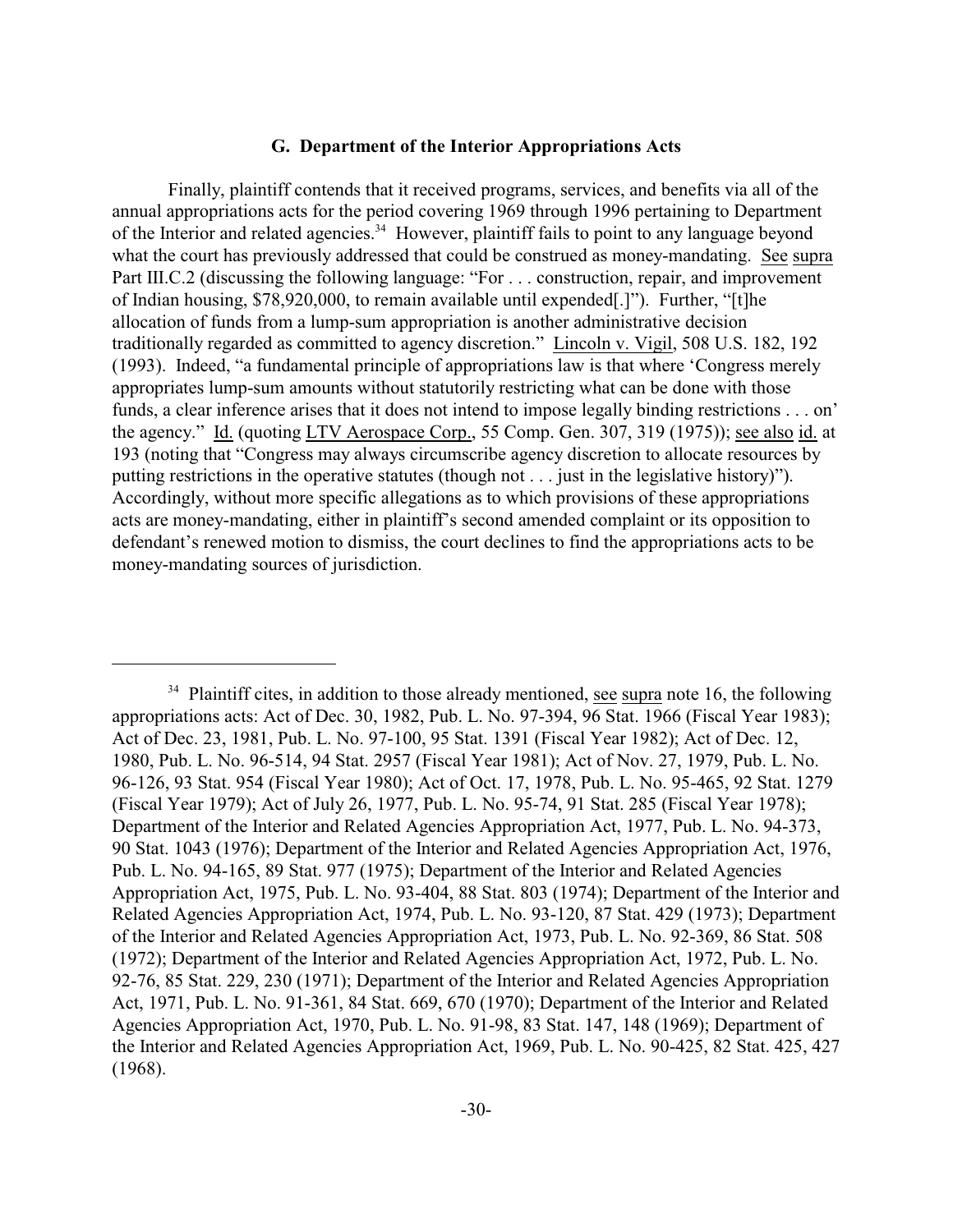## **G. Department of the Interior Appropriations Acts**

Finally, plaintiff contends that it received programs, services, and benefits via all of the annual appropriations acts for the period covering 1969 through 1996 pertaining to Department of the Interior and related agencies.<sup>34</sup> However, plaintiff fails to point to any language beyond what the court has previously addressed that could be construed as money-mandating. See supra Part III.C.2 (discussing the following language: "For . . . construction, repair, and improvement of Indian housing, \$78,920,000, to remain available until expended[.]"). Further, "[t]he allocation of funds from a lump-sum appropriation is another administrative decision traditionally regarded as committed to agency discretion." Lincoln v. Vigil, 508 U.S. 182, 192 (1993). Indeed, "a fundamental principle of appropriations law is that where 'Congress merely appropriates lump-sum amounts without statutorily restricting what can be done with those funds, a clear inference arises that it does not intend to impose legally binding restrictions . . . on' the agency." Id. (quoting LTV Aerospace Corp., 55 Comp. Gen. 307, 319 (1975)); see also id. at 193 (noting that "Congress may always circumscribe agency discretion to allocate resources by putting restrictions in the operative statutes (though not . . . just in the legislative history)"). Accordingly, without more specific allegations as to which provisions of these appropriations acts are money-mandating, either in plaintiff's second amended complaint or its opposition to defendant's renewed motion to dismiss, the court declines to find the appropriations acts to be money-mandating sources of jurisdiction.

 $34$  Plaintiff cites, in addition to those already mentioned, see supra note 16, the following appropriations acts: Act of Dec. 30, 1982, Pub. L. No. 97-394, 96 Stat. 1966 (Fiscal Year 1983); Act of Dec. 23, 1981, Pub. L. No. 97-100, 95 Stat. 1391 (Fiscal Year 1982); Act of Dec. 12, 1980, Pub. L. No. 96-514, 94 Stat. 2957 (Fiscal Year 1981); Act of Nov. 27, 1979, Pub. L. No. 96-126, 93 Stat. 954 (Fiscal Year 1980); Act of Oct. 17, 1978, Pub. L. No. 95-465, 92 Stat. 1279 (Fiscal Year 1979); Act of July 26, 1977, Pub. L. No. 95-74, 91 Stat. 285 (Fiscal Year 1978); Department of the Interior and Related Agencies Appropriation Act, 1977, Pub. L. No. 94-373, 90 Stat. 1043 (1976); Department of the Interior and Related Agencies Appropriation Act, 1976, Pub. L. No. 94-165, 89 Stat. 977 (1975); Department of the Interior and Related Agencies Appropriation Act, 1975, Pub. L. No. 93-404, 88 Stat. 803 (1974); Department of the Interior and Related Agencies Appropriation Act, 1974, Pub. L. No. 93-120, 87 Stat. 429 (1973); Department of the Interior and Related Agencies Appropriation Act, 1973, Pub. L. No. 92-369, 86 Stat. 508 (1972); Department of the Interior and Related Agencies Appropriation Act, 1972, Pub. L. No. 92-76, 85 Stat. 229, 230 (1971); Department of the Interior and Related Agencies Appropriation Act, 1971, Pub. L. No. 91-361, 84 Stat. 669, 670 (1970); Department of the Interior and Related Agencies Appropriation Act, 1970, Pub. L. No. 91-98, 83 Stat. 147, 148 (1969); Department of the Interior and Related Agencies Appropriation Act, 1969, Pub. L. No. 90-425, 82 Stat. 425, 427 (1968).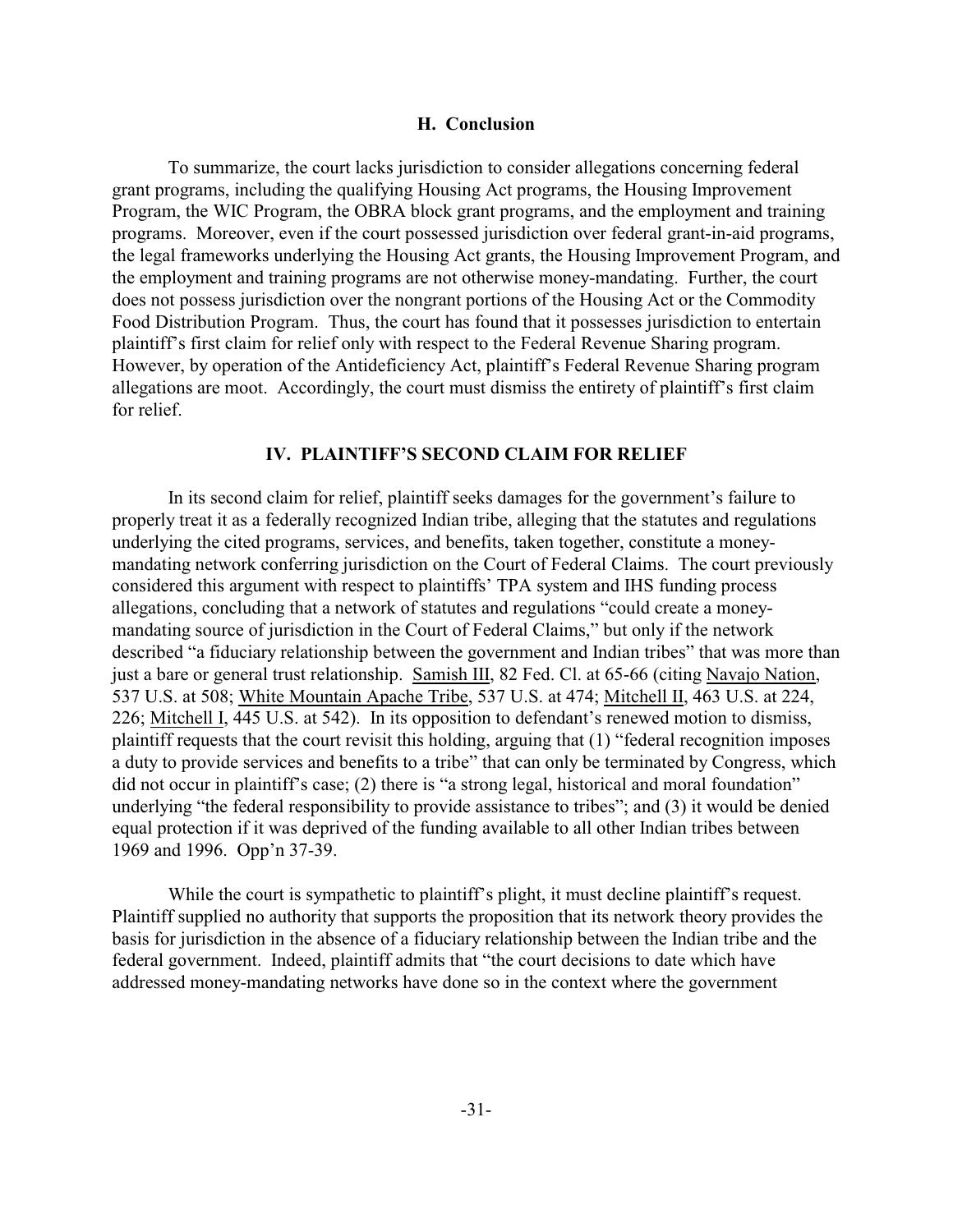#### **H. Conclusion**

To summarize, the court lacks jurisdiction to consider allegations concerning federal grant programs, including the qualifying Housing Act programs, the Housing Improvement Program, the WIC Program, the OBRA block grant programs, and the employment and training programs. Moreover, even if the court possessed jurisdiction over federal grant-in-aid programs, the legal frameworks underlying the Housing Act grants, the Housing Improvement Program, and the employment and training programs are not otherwise money-mandating. Further, the court does not possess jurisdiction over the nongrant portions of the Housing Act or the Commodity Food Distribution Program. Thus, the court has found that it possesses jurisdiction to entertain plaintiff's first claim for relief only with respect to the Federal Revenue Sharing program. However, by operation of the Antideficiency Act, plaintiff's Federal Revenue Sharing program allegations are moot. Accordingly, the court must dismiss the entirety of plaintiff's first claim for relief.

## **IV. PLAINTIFF'S SECOND CLAIM FOR RELIEF**

In its second claim for relief, plaintiff seeks damages for the government's failure to properly treat it as a federally recognized Indian tribe, alleging that the statutes and regulations underlying the cited programs, services, and benefits, taken together, constitute a moneymandating network conferring jurisdiction on the Court of Federal Claims. The court previously considered this argument with respect to plaintiffs' TPA system and IHS funding process allegations, concluding that a network of statutes and regulations "could create a moneymandating source of jurisdiction in the Court of Federal Claims," but only if the network described "a fiduciary relationship between the government and Indian tribes" that was more than just a bare or general trust relationship. Samish III, 82 Fed. Cl. at 65-66 (citing Navajo Nation, 537 U.S. at 508; White Mountain Apache Tribe, 537 U.S. at 474; Mitchell II, 463 U.S. at 224, 226; Mitchell I, 445 U.S. at 542). In its opposition to defendant's renewed motion to dismiss, plaintiff requests that the court revisit this holding, arguing that (1) "federal recognition imposes a duty to provide services and benefits to a tribe" that can only be terminated by Congress, which did not occur in plaintiff's case; (2) there is "a strong legal, historical and moral foundation" underlying "the federal responsibility to provide assistance to tribes"; and (3) it would be denied equal protection if it was deprived of the funding available to all other Indian tribes between 1969 and 1996. Opp'n 37-39.

While the court is sympathetic to plaintiff's plight, it must decline plaintiff's request. Plaintiff supplied no authority that supports the proposition that its network theory provides the basis for jurisdiction in the absence of a fiduciary relationship between the Indian tribe and the federal government. Indeed, plaintiff admits that "the court decisions to date which have addressed money-mandating networks have done so in the context where the government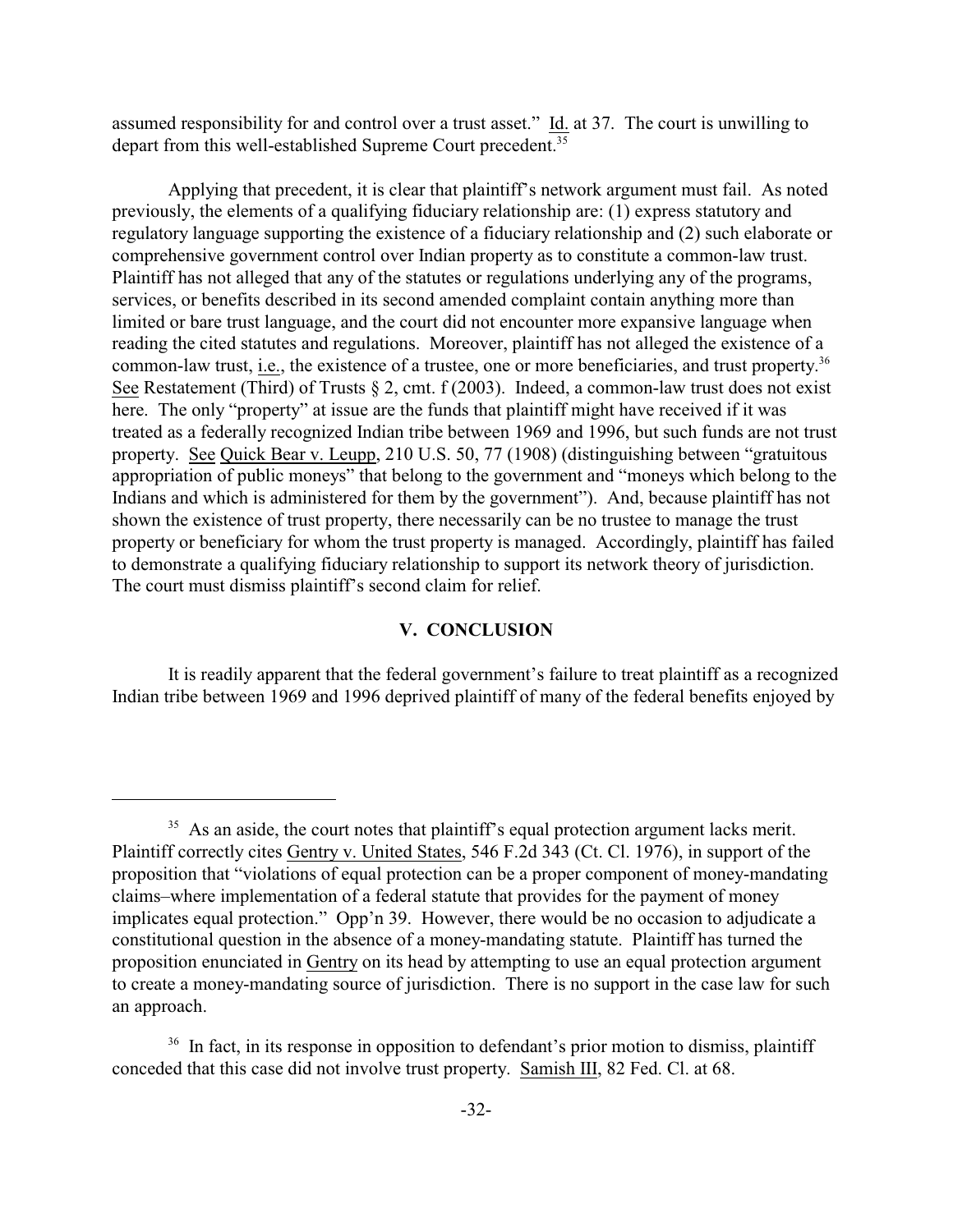assumed responsibility for and control over a trust asset." Id. at 37. The court is unwilling to depart from this well-established Supreme Court precedent.<sup>35</sup>

Applying that precedent, it is clear that plaintiff's network argument must fail. As noted previously, the elements of a qualifying fiduciary relationship are: (1) express statutory and regulatory language supporting the existence of a fiduciary relationship and (2) such elaborate or comprehensive government control over Indian property as to constitute a common-law trust. Plaintiff has not alleged that any of the statutes or regulations underlying any of the programs, services, or benefits described in its second amended complaint contain anything more than limited or bare trust language, and the court did not encounter more expansive language when reading the cited statutes and regulations. Moreover, plaintiff has not alleged the existence of a common-law trust, i.e., the existence of a trustee, one or more beneficiaries, and trust property.<sup>36</sup> See Restatement (Third) of Trusts § 2, cmt. f (2003). Indeed, a common-law trust does not exist here. The only "property" at issue are the funds that plaintiff might have received if it was treated as a federally recognized Indian tribe between 1969 and 1996, but such funds are not trust property. See Quick Bear v. Leupp, 210 U.S. 50, 77 (1908) (distinguishing between "gratuitous appropriation of public moneys" that belong to the government and "moneys which belong to the Indians and which is administered for them by the government"). And, because plaintiff has not shown the existence of trust property, there necessarily can be no trustee to manage the trust property or beneficiary for whom the trust property is managed. Accordingly, plaintiff has failed to demonstrate a qualifying fiduciary relationship to support its network theory of jurisdiction. The court must dismiss plaintiff's second claim for relief.

## **V. CONCLUSION**

It is readily apparent that the federal government's failure to treat plaintiff as a recognized Indian tribe between 1969 and 1996 deprived plaintiff of many of the federal benefits enjoyed by

 $35$  As an aside, the court notes that plaintiff's equal protection argument lacks merit. Plaintiff correctly cites Gentry v. United States, 546 F.2d 343 (Ct. Cl. 1976), in support of the proposition that "violations of equal protection can be a proper component of money-mandating claims–where implementation of a federal statute that provides for the payment of money implicates equal protection." Opp'n 39. However, there would be no occasion to adjudicate a constitutional question in the absence of a money-mandating statute. Plaintiff has turned the proposition enunciated in Gentry on its head by attempting to use an equal protection argument to create a money-mandating source of jurisdiction. There is no support in the case law for such an approach.

 $36$  In fact, in its response in opposition to defendant's prior motion to dismiss, plaintiff conceded that this case did not involve trust property. Samish III, 82 Fed. Cl. at 68.